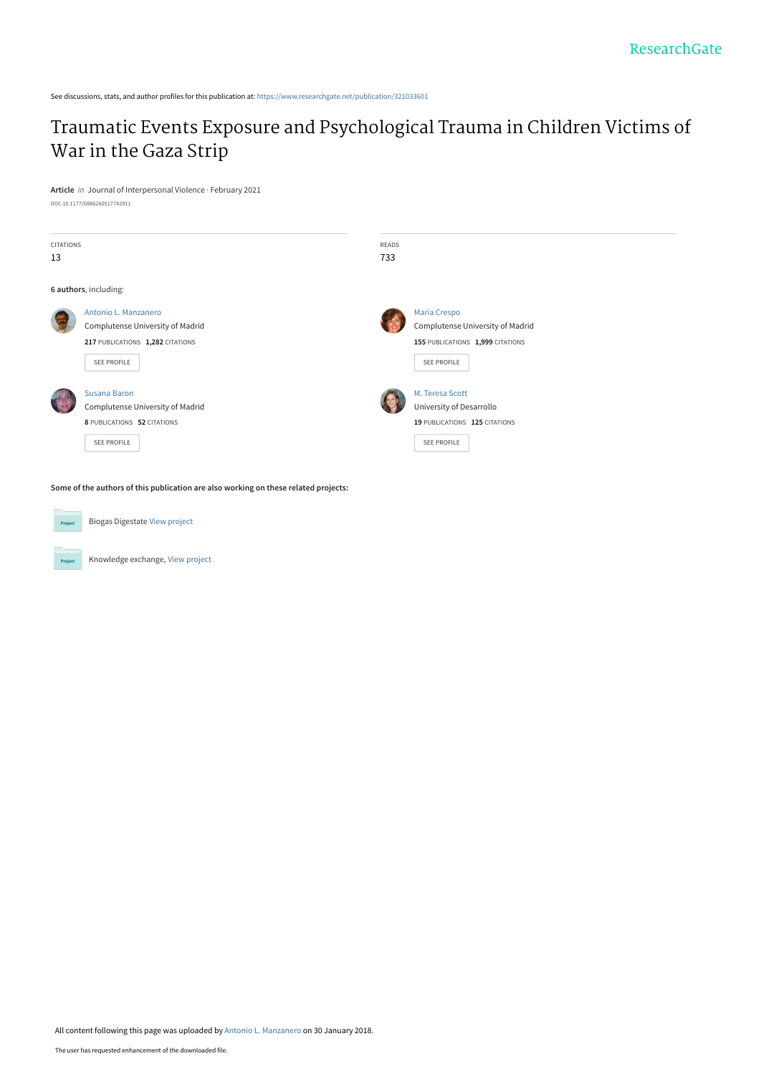See discussions, stats, and author profiles for this publication at: [https://www.researchgate.net/publication/321033601](https://www.researchgate.net/publication/321033601_Traumatic_Events_Exposure_and_Psychological_Trauma_in_Children_Victims_of_War_in_the_Gaza_Strip?enrichId=rgreq-f88ca2279c5f9ec459662901b8234603-XXX&enrichSource=Y292ZXJQYWdlOzMyMTAzMzYwMTtBUzo1ODg0ODgxMDE2MTM1NjhAMTUxNzMxNzkwNTIxNQ%3D%3D&el=1_x_2&_esc=publicationCoverPdf)

## [Traumatic Events Exposure and Psychological Trauma in Children Victims of](https://www.researchgate.net/publication/321033601_Traumatic_Events_Exposure_and_Psychological_Trauma_in_Children_Victims_of_War_in_the_Gaza_Strip?enrichId=rgreq-f88ca2279c5f9ec459662901b8234603-XXX&enrichSource=Y292ZXJQYWdlOzMyMTAzMzYwMTtBUzo1ODg0ODgxMDE2MTM1NjhAMTUxNzMxNzkwNTIxNQ%3D%3D&el=1_x_3&_esc=publicationCoverPdf) War in the Gaza Strip

**Article** in Journal of Interpersonal Violence · February 2021 DOI: 10.1177/0886260517742911

| <b>CITATIONS</b><br>13 |                                                                                                                    | <b>READS</b><br>733 |                                                                                                     |
|------------------------|--------------------------------------------------------------------------------------------------------------------|---------------------|-----------------------------------------------------------------------------------------------------|
|                        | 6 authors, including:                                                                                              |                     |                                                                                                     |
|                        | Antonio L. Manzanero<br>Complutense University of Madrid<br>217 PUBLICATIONS 1,282 CITATIONS<br><b>SEE PROFILE</b> |                     | Maria Crespo<br>Complutense University of Madrid<br>155 PUBLICATIONS 1,999 CITATIONS<br>SEE PROFILE |
|                        | Susana Baron<br>Complutense University of Madrid<br>8 PUBLICATIONS 52 CITATIONS<br><b>SEE PROFILE</b>              |                     | M. Teresa Scott<br>University of Desarrollo<br>19 PUBLICATIONS 125 CITATIONS<br>SEE PROFILE         |

**Some of the authors of this publication are also working on these related projects:**



Project

Knowledge exchange, [View project](https://www.researchgate.net/project/Knowledge-exchange-3?enrichId=rgreq-f88ca2279c5f9ec459662901b8234603-XXX&enrichSource=Y292ZXJQYWdlOzMyMTAzMzYwMTtBUzo1ODg0ODgxMDE2MTM1NjhAMTUxNzMxNzkwNTIxNQ%3D%3D&el=1_x_9&_esc=publicationCoverPdf)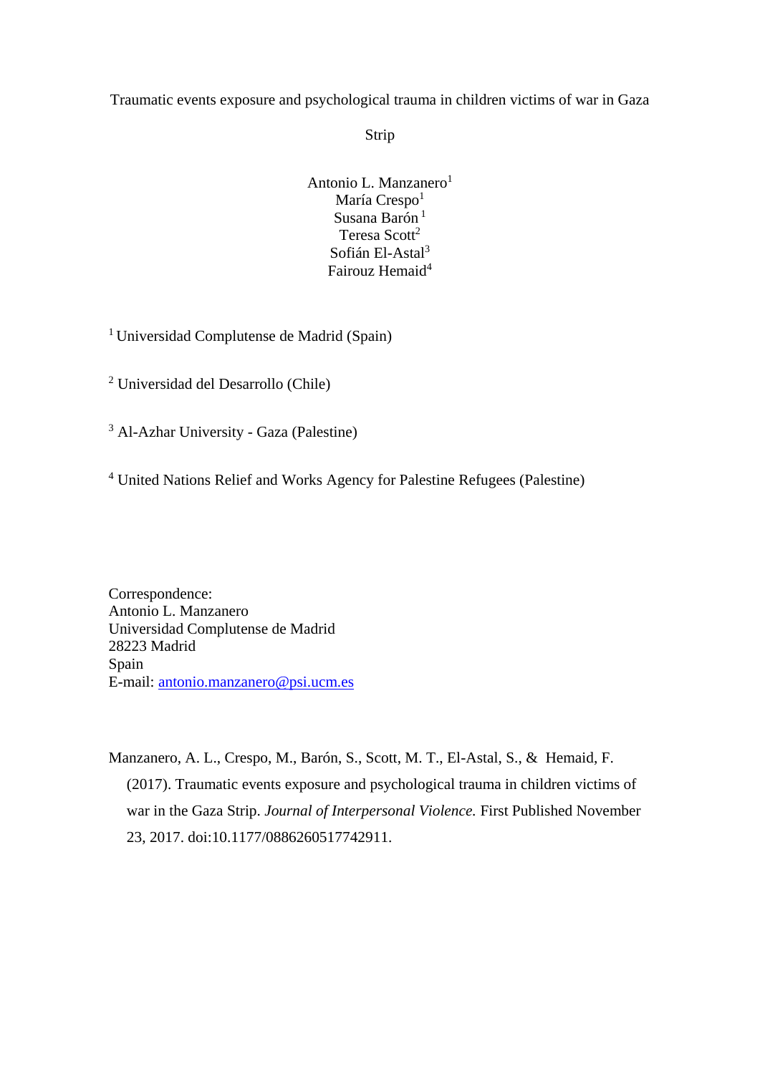Traumatic events exposure and psychological trauma in children victims of war in Gaza

Strip

Antonio L. Manzanero<sup>1</sup> María Crespo<sup>1</sup> Susana Barón  $1$ Teresa Scott<sup>2</sup> Sofián El-Astal<sup>3</sup> Fairouz Hemaid<sup>4</sup>

<sup>1</sup>Universidad Complutense de Madrid (Spain)

<sup>2</sup> Universidad del Desarrollo (Chile)

<sup>3</sup> Al-Azhar University - Gaza (Palestine)

<sup>4</sup> United Nations Relief and Works Agency for Palestine Refugees (Palestine)

Correspondence: Antonio L. Manzanero Universidad Complutense de Madrid 28223 Madrid Spain E-mail: [antonio.manzanero@psi.ucm.es](mailto:antonio.manzanero@psi.ucm.es)

Manzanero, A. L., Crespo, M., Barón, S., Scott, M. T., El-Astal, S., & Hemaid, F. (2017). Traumatic events exposure and psychological trauma in children victims of war in the Gaza Strip. *Journal of Interpersonal Violence.* First Published November 23, 2017. doi:10.1177/0886260517742911.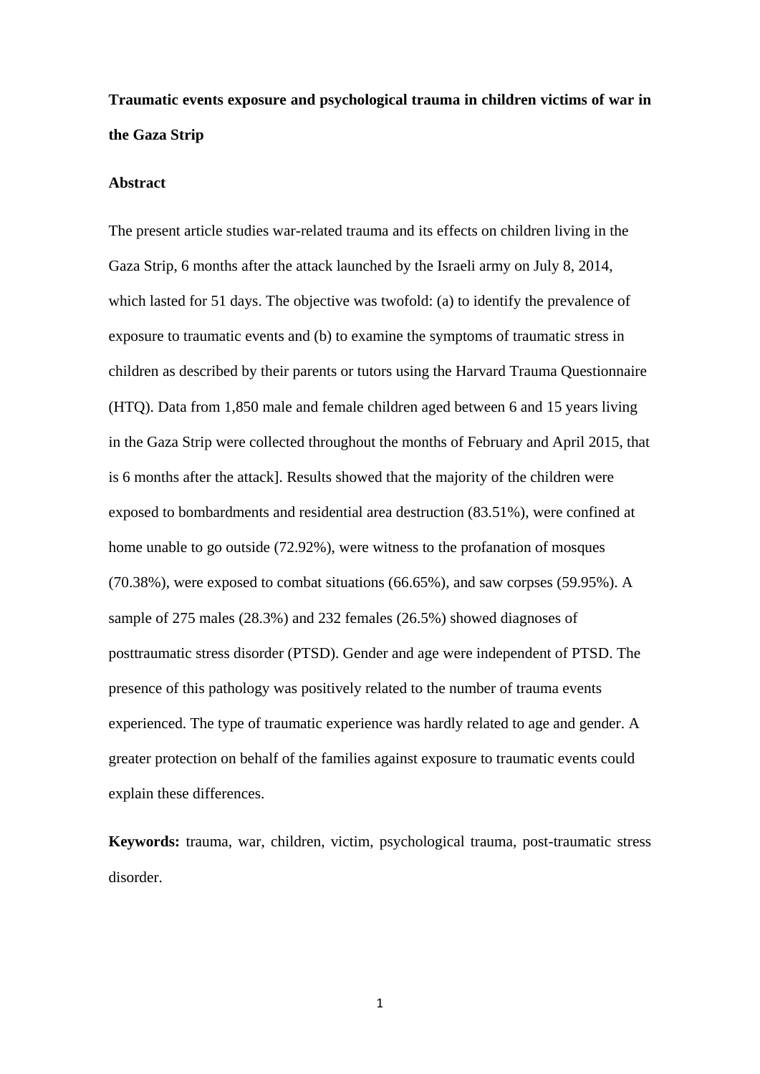# **Traumatic events exposure and psychological trauma in children victims of war in the Gaza Strip**

#### **Abstract**

The present article studies war-related trauma and its effects on children living in the Gaza Strip, 6 months after the attack launched by the Israeli army on July 8, 2014, which lasted for 51 days. The objective was twofold: (a) to identify the prevalence of exposure to traumatic events and (b) to examine the symptoms of traumatic stress in children as described by their parents or tutors using the Harvard Trauma Questionnaire (HTQ). Data from 1,850 male and female children aged between 6 and 15 years living in the Gaza Strip were collected throughout the months of February and April 2015, that is 6 months after the attack]. Results showed that the majority of the children were exposed to bombardments and residential area destruction (83.51%), were confined at home unable to go outside (72.92%), were witness to the profanation of mosques (70.38%), were exposed to combat situations (66.65%), and saw corpses (59.95%). A sample of 275 males (28.3%) and 232 females (26.5%) showed diagnoses of posttraumatic stress disorder (PTSD). Gender and age were independent of PTSD. The presence of this pathology was positively related to the number of trauma events experienced. The type of traumatic experience was hardly related to age and gender. A greater protection on behalf of the families against exposure to traumatic events could explain these differences.

**Keywords:** trauma, war, children, victim, psychological trauma, post-traumatic stress disorder.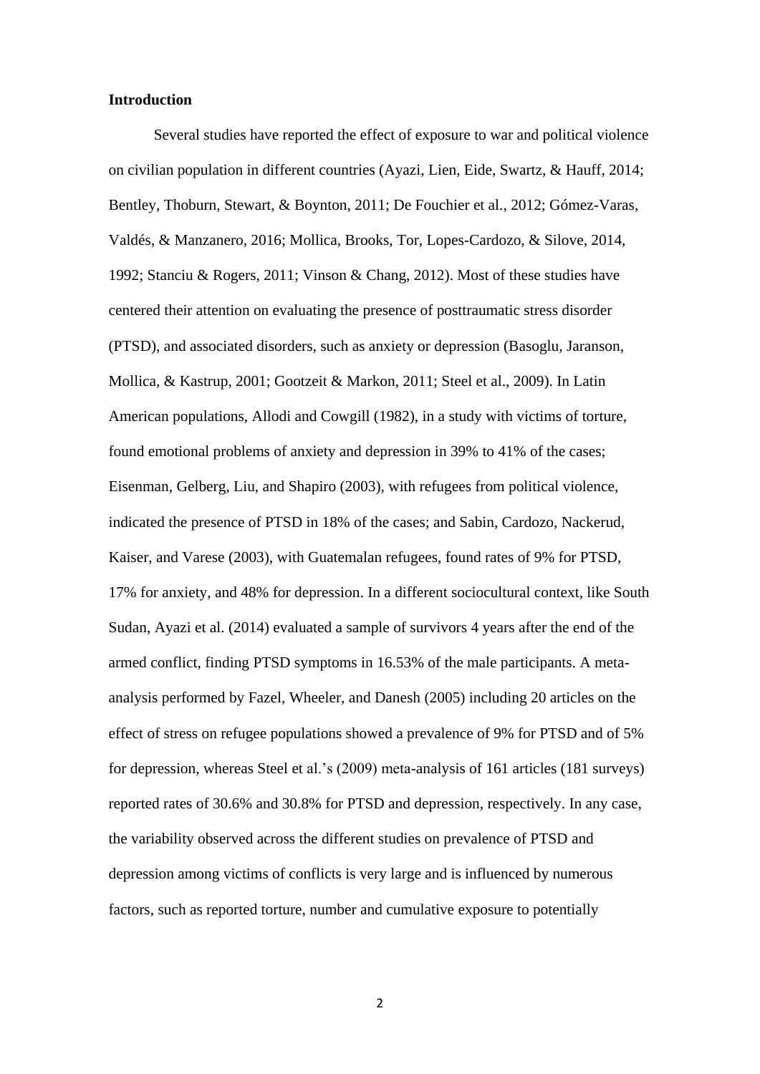#### **Introduction**

Several studies have reported the effect of exposure to war and political violence on civilian population in different countries (Ayazi, Lien, Eide, Swartz, & Hauff, 2014; Bentley, Thoburn, Stewart, & Boynton, 2011; De Fouchier et al., 2012; Gómez-Varas, Valdés, & Manzanero, 2016; Mollica, Brooks, Tor, Lopes-Cardozo, & Silove, 2014, 1992; Stanciu & Rogers, 2011; Vinson & Chang, 2012). Most of these studies have centered their attention on evaluating the presence of posttraumatic stress disorder (PTSD), and associated disorders, such as anxiety or depression (Basoglu, Jaranson, Mollica, & Kastrup, 2001; Gootzeit & Markon, 2011; Steel et al., 2009). In Latin American populations, Allodi and Cowgill (1982), in a study with victims of torture, found emotional problems of anxiety and depression in 39% to 41% of the cases; Eisenman, Gelberg, Liu, and Shapiro (2003), with refugees from political violence, indicated the presence of PTSD in 18% of the cases; and Sabin, Cardozo, Nackerud, Kaiser, and Varese (2003), with Guatemalan refugees, found rates of 9% for PTSD, 17% for anxiety, and 48% for depression. In a different sociocultural context, like South Sudan, Ayazi et al. (2014) evaluated a sample of survivors 4 years after the end of the armed conflict, finding PTSD symptoms in 16.53% of the male participants. A metaanalysis performed by Fazel, Wheeler, and Danesh (2005) including 20 articles on the effect of stress on refugee populations showed a prevalence of 9% for PTSD and of 5% for depression, whereas Steel et al.'s (2009) meta-analysis of 161 articles (181 surveys) reported rates of 30.6% and 30.8% for PTSD and depression, respectively. In any case, the variability observed across the different studies on prevalence of PTSD and depression among victims of conflicts is very large and is influenced by numerous factors, such as reported torture, number and cumulative exposure to potentially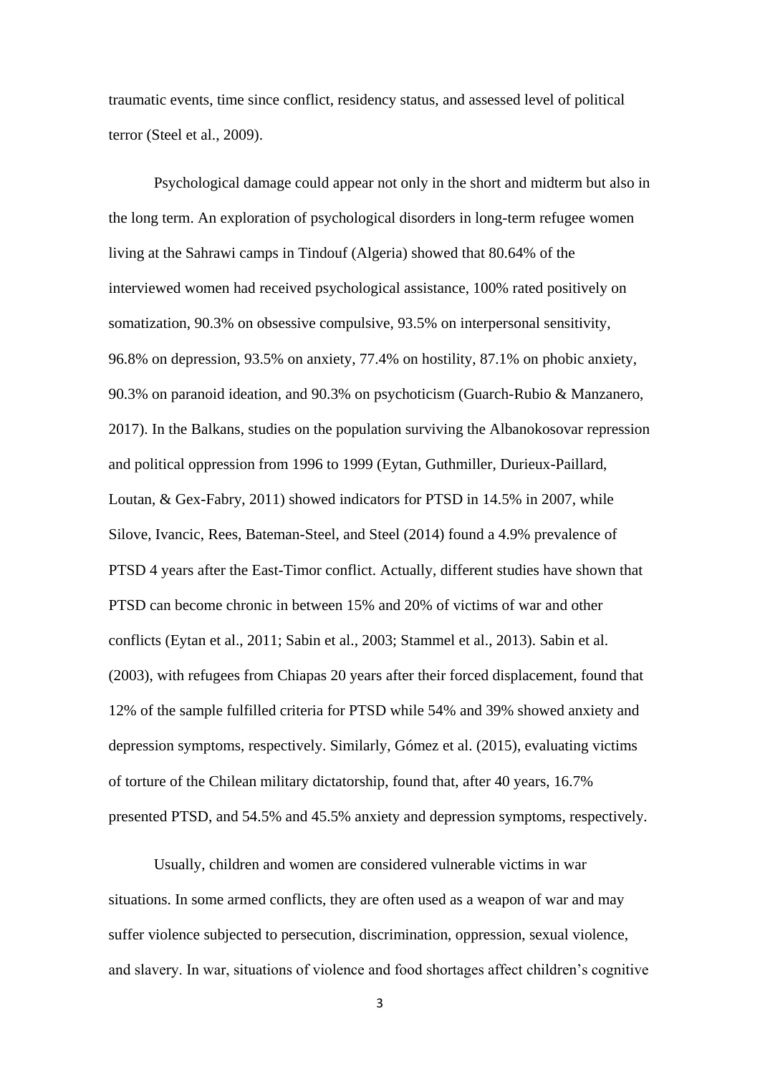traumatic events, time since conflict, residency status, and assessed level of political terror (Steel et al., 2009).

Psychological damage could appear not only in the short and midterm but also in the long term. An exploration of psychological disorders in long-term refugee women living at the Sahrawi camps in Tindouf (Algeria) showed that 80.64% of the interviewed women had received psychological assistance, 100% rated positively on somatization, 90.3% on obsessive compulsive, 93.5% on interpersonal sensitivity, 96.8% on depression, 93.5% on anxiety, 77.4% on hostility, 87.1% on phobic anxiety, 90.3% on paranoid ideation, and 90.3% on psychoticism (Guarch-Rubio & Manzanero, 2017). In the Balkans, studies on the population surviving the Albanokosovar repression and political oppression from 1996 to 1999 (Eytan, Guthmiller, Durieux-Paillard, Loutan, & Gex-Fabry, 2011) showed indicators for PTSD in 14.5% in 2007, while Silove, Ivancic, Rees, Bateman-Steel, and Steel (2014) found a 4.9% prevalence of PTSD 4 years after the East-Timor conflict. Actually, different studies have shown that PTSD can become chronic in between 15% and 20% of victims of war and other conflicts (Eytan et al., 2011; Sabin et al., 2003; Stammel et al., 2013). Sabin et al. (2003), with refugees from Chiapas 20 years after their forced displacement, found that 12% of the sample fulfilled criteria for PTSD while 54% and 39% showed anxiety and depression symptoms, respectively. Similarly, Gómez et al. (2015), evaluating victims of torture of the Chilean military dictatorship, found that, after 40 years, 16.7% presented PTSD, and 54.5% and 45.5% anxiety and depression symptoms, respectively.

Usually, children and women are considered vulnerable victims in war situations. In some armed conflicts, they are often used as a weapon of war and may suffer violence subjected to persecution, discrimination, oppression, sexual violence, and slavery. In war, situations of violence and food shortages affect children's cognitive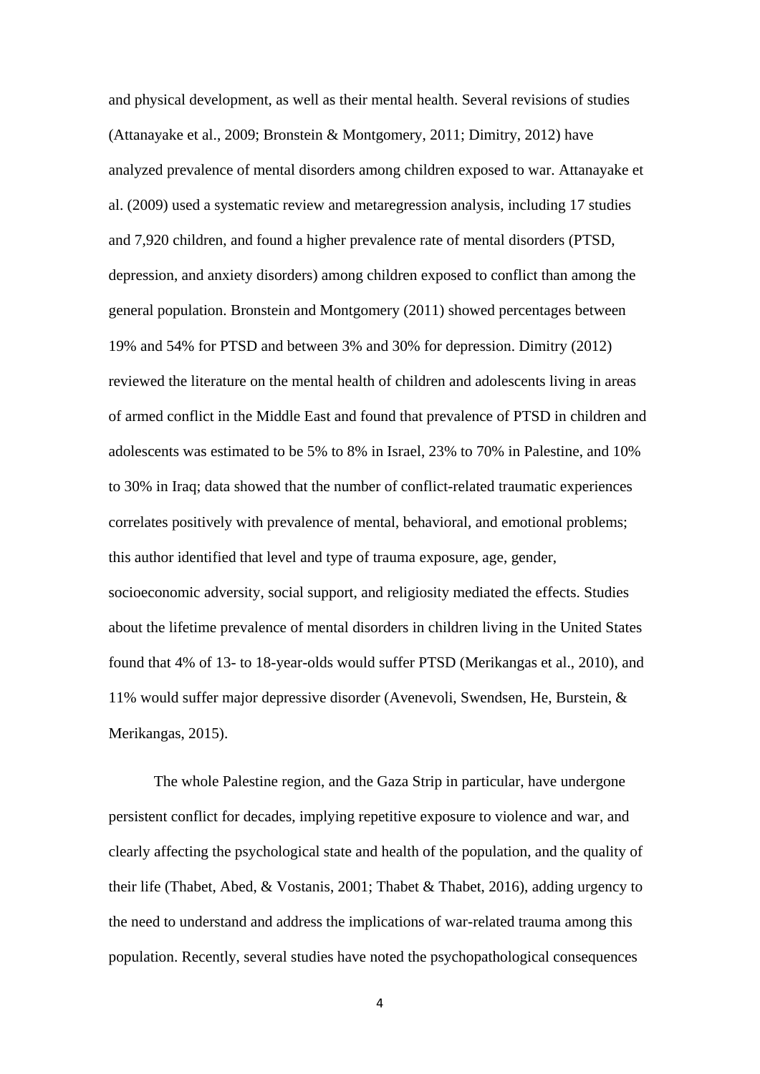and physical development, as well as their mental health. Several revisions of studies (Attanayake et al., 2009; Bronstein & Montgomery, 2011; Dimitry, 2012) have analyzed prevalence of mental disorders among children exposed to war. Attanayake et al. (2009) used a systematic review and metaregression analysis, including 17 studies and 7,920 children, and found a higher prevalence rate of mental disorders (PTSD, depression, and anxiety disorders) among children exposed to conflict than among the general population. Bronstein and Montgomery (2011) showed percentages between 19% and 54% for PTSD and between 3% and 30% for depression. Dimitry (2012) reviewed the literature on the mental health of children and adolescents living in areas of armed conflict in the Middle East and found that prevalence of PTSD in children and adolescents was estimated to be 5% to 8% in Israel, 23% to 70% in Palestine, and 10% to 30% in Iraq; data showed that the number of conflict-related traumatic experiences correlates positively with prevalence of mental, behavioral, and emotional problems; this author identified that level and type of trauma exposure, age, gender, socioeconomic adversity, social support, and religiosity mediated the effects. Studies about the lifetime prevalence of mental disorders in children living in the United States found that 4% of 13- to 18-year-olds would suffer PTSD (Merikangas et al., 2010), and 11% would suffer major depressive disorder (Avenevoli, Swendsen, He, Burstein, & Merikangas, 2015).

The whole Palestine region, and the Gaza Strip in particular, have undergone persistent conflict for decades, implying repetitive exposure to violence and war, and clearly affecting the psychological state and health of the population, and the quality of their life (Thabet, Abed, & Vostanis, 2001; Thabet & Thabet, 2016), adding urgency to the need to understand and address the implications of war-related trauma among this population. Recently, several studies have noted the psychopathological consequences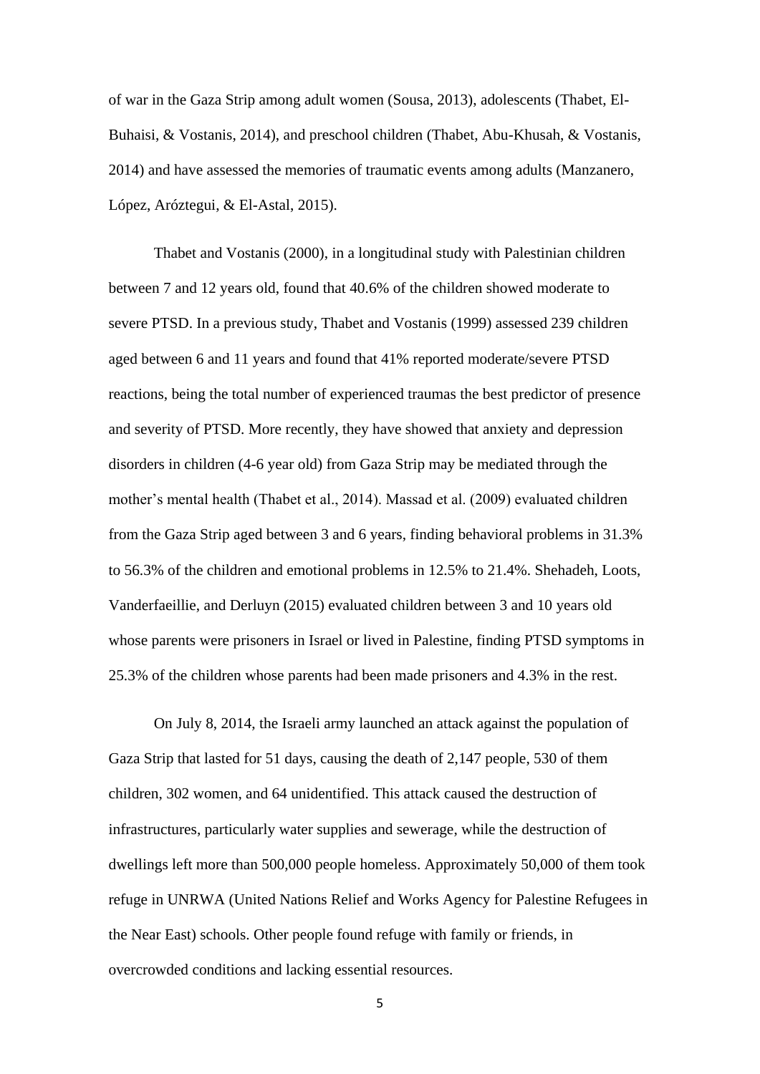of war in the Gaza Strip among adult women (Sousa, 2013), adolescents (Thabet, El-Buhaisi, & Vostanis, 2014), and preschool children (Thabet, Abu-Khusah, & Vostanis, 2014) and have assessed the memories of traumatic events among adults (Manzanero, López, Aróztegui, & El-Astal, 2015).

Thabet and Vostanis (2000), in a longitudinal study with Palestinian children between 7 and 12 years old, found that 40.6% of the children showed moderate to severe PTSD. In a previous study, Thabet and Vostanis (1999) assessed 239 children aged between 6 and 11 years and found that 41% reported moderate/severe PTSD reactions, being the total number of experienced traumas the best predictor of presence and severity of PTSD. More recently, they have showed that anxiety and depression disorders in children (4-6 year old) from Gaza Strip may be mediated through the mother's mental health (Thabet et al., 2014). Massad et al. (2009) evaluated children from the Gaza Strip aged between 3 and 6 years, finding behavioral problems in 31.3% to 56.3% of the children and emotional problems in 12.5% to 21.4%. Shehadeh, Loots, Vanderfaeillie, and Derluyn (2015) evaluated children between 3 and 10 years old whose parents were prisoners in Israel or lived in Palestine, finding PTSD symptoms in 25.3% of the children whose parents had been made prisoners and 4.3% in the rest.

On July 8, 2014, the Israeli army launched an attack against the population of Gaza Strip that lasted for 51 days, causing the death of 2,147 people, 530 of them children, 302 women, and 64 unidentified. This attack caused the destruction of infrastructures, particularly water supplies and sewerage, while the destruction of dwellings left more than 500,000 people homeless. Approximately 50,000 of them took refuge in UNRWA (United Nations Relief and Works Agency for Palestine Refugees in the Near East) schools. Other people found refuge with family or friends, in overcrowded conditions and lacking essential resources.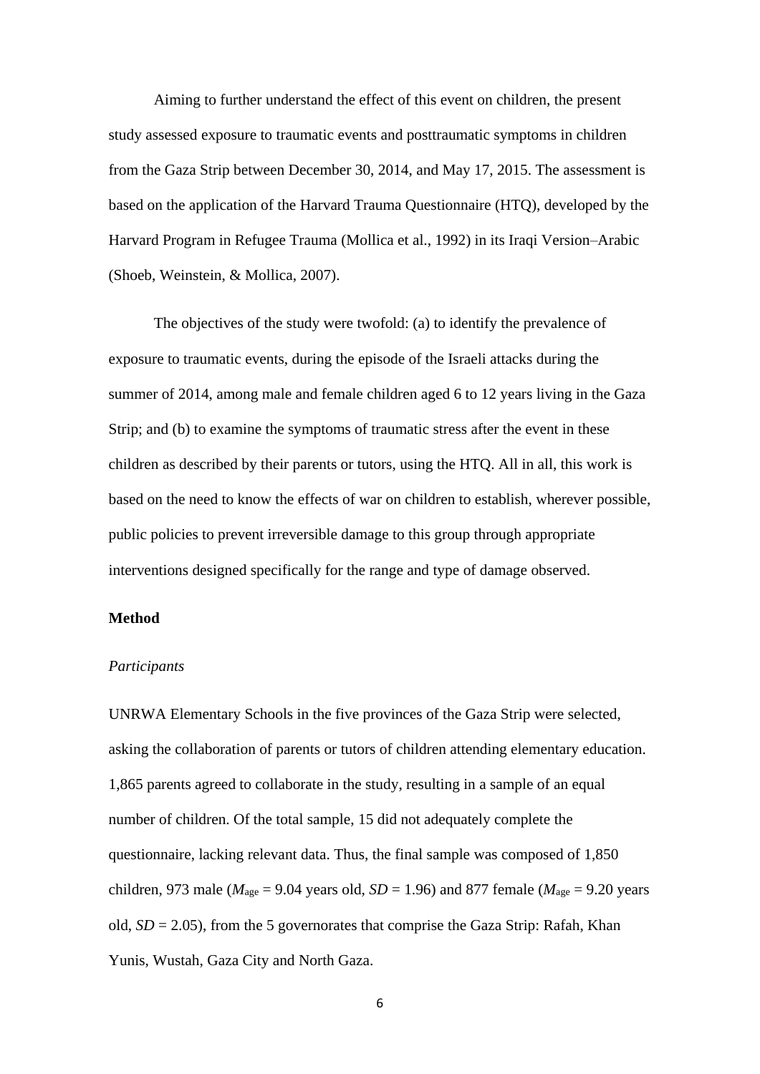Aiming to further understand the effect of this event on children, the present study assessed exposure to traumatic events and posttraumatic symptoms in children from the Gaza Strip between December 30, 2014, and May 17, 2015. The assessment is based on the application of the Harvard Trauma Questionnaire (HTQ), developed by the Harvard Program in Refugee Trauma (Mollica et al., 1992) in its Iraqi Version–Arabic (Shoeb, Weinstein, & Mollica, 2007).

The objectives of the study were twofold: (a) to identify the prevalence of exposure to traumatic events, during the episode of the Israeli attacks during the summer of 2014, among male and female children aged 6 to 12 years living in the Gaza Strip; and (b) to examine the symptoms of traumatic stress after the event in these children as described by their parents or tutors, using the HTQ. All in all, this work is based on the need to know the effects of war on children to establish, wherever possible, public policies to prevent irreversible damage to this group through appropriate interventions designed specifically for the range and type of damage observed.

## **Method**

#### *Participants*

UNRWA Elementary Schools in the five provinces of the Gaza Strip were selected, asking the collaboration of parents or tutors of children attending elementary education. 1,865 parents agreed to collaborate in the study, resulting in a sample of an equal number of children. Of the total sample, 15 did not adequately complete the questionnaire, lacking relevant data. Thus, the final sample was composed of 1,850 children, 973 male ( $M<sub>age</sub> = 9.04$  years old,  $SD = 1.96$ ) and 877 female ( $M<sub>age</sub> = 9.20$  years old,  $SD = 2.05$ ), from the 5 governorates that comprise the Gaza Strip: Rafah, Khan Yunis, Wustah, Gaza City and North Gaza.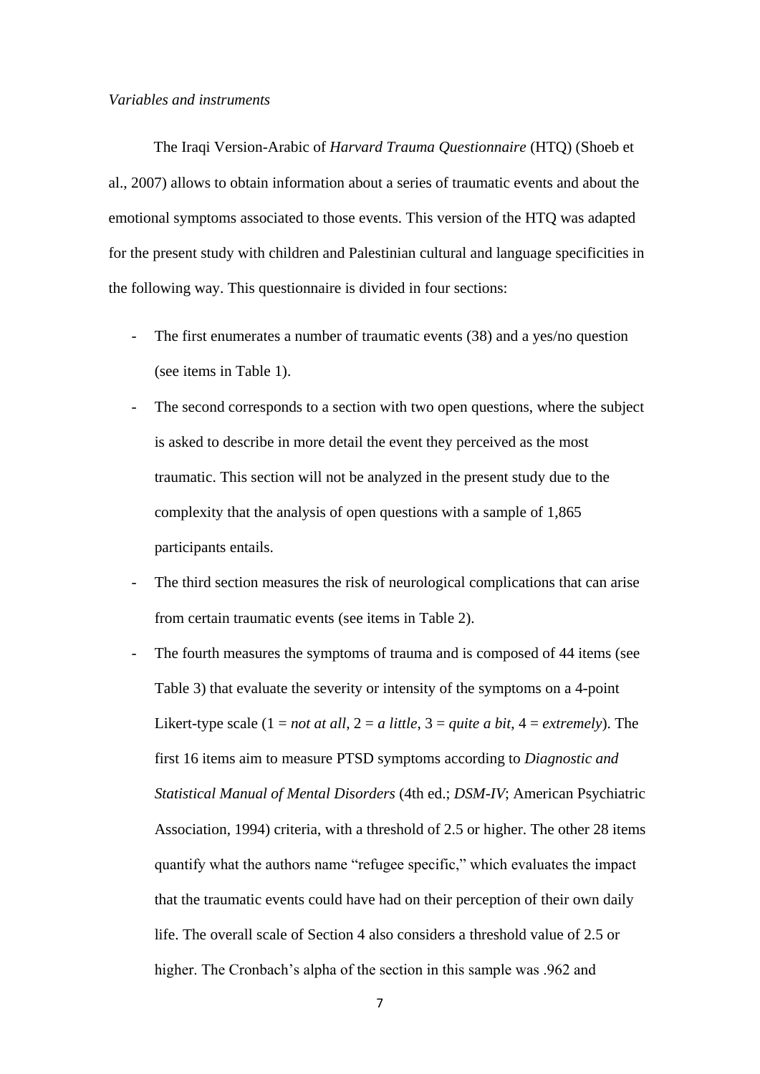### *Variables and instruments*

The Iraqi Version-Arabic of *Harvard Trauma Questionnaire* (HTQ) (Shoeb et al., 2007) allows to obtain information about a series of traumatic events and about the emotional symptoms associated to those events. This version of the HTQ was adapted for the present study with children and Palestinian cultural and language specificities in the following way. This questionnaire is divided in four sections:

- The first enumerates a number of traumatic events (38) and a yes/no question (see items in Table 1).
- The second corresponds to a section with two open questions, where the subject is asked to describe in more detail the event they perceived as the most traumatic. This section will not be analyzed in the present study due to the complexity that the analysis of open questions with a sample of 1,865 participants entails.
- The third section measures the risk of neurological complications that can arise from certain traumatic events (see items in Table 2).
- The fourth measures the symptoms of trauma and is composed of 44 items (see Table 3) that evaluate the severity or intensity of the symptoms on a 4-point Likert-type scale  $(1 = not at all, 2 = a little, 3 = quite a bit, 4 = extremely)$ . The first 16 items aim to measure PTSD symptoms according to *Diagnostic and Statistical Manual of Mental Disorders* (4th ed.; *DSM-IV*; American Psychiatric Association, 1994) criteria, with a threshold of 2.5 or higher. The other 28 items quantify what the authors name "refugee specific," which evaluates the impact that the traumatic events could have had on their perception of their own daily life. The overall scale of Section 4 also considers a threshold value of 2.5 or higher. The Cronbach's alpha of the section in this sample was .962 and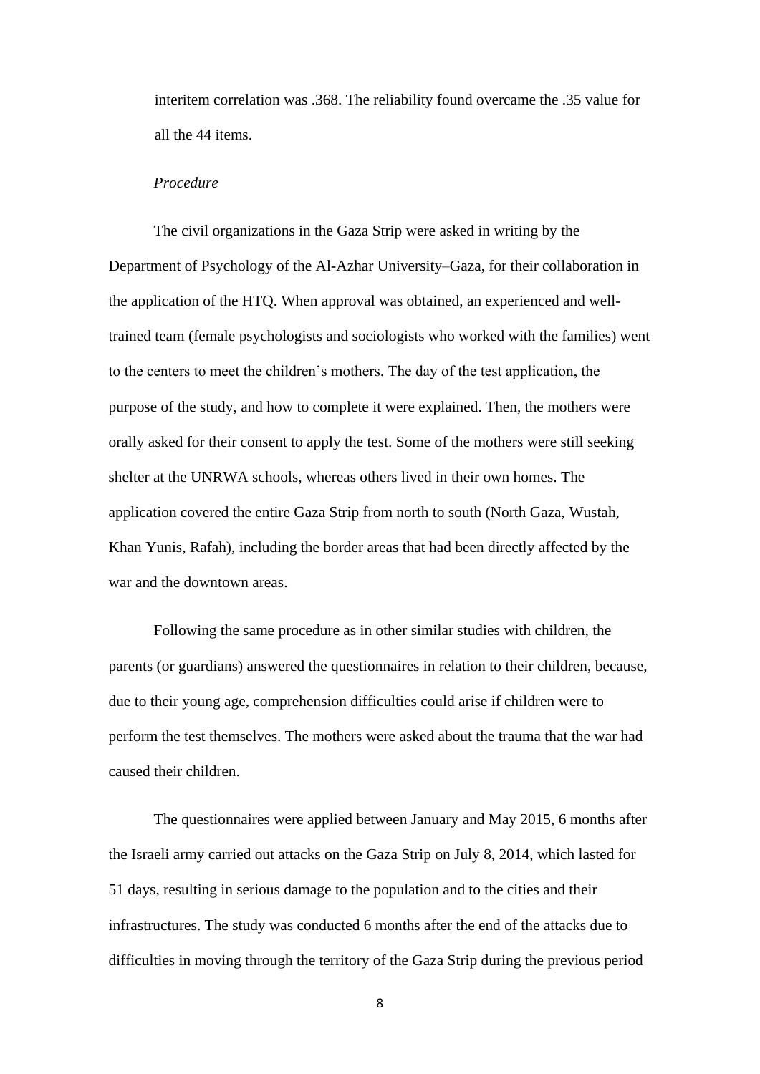interitem correlation was .368. The reliability found overcame the .35 value for all the 44 items.

## *Procedure*

The civil organizations in the Gaza Strip were asked in writing by the Department of Psychology of the Al-Azhar University–Gaza, for their collaboration in the application of the HTQ. When approval was obtained, an experienced and welltrained team (female psychologists and sociologists who worked with the families) went to the centers to meet the children's mothers. The day of the test application, the purpose of the study, and how to complete it were explained. Then, the mothers were orally asked for their consent to apply the test. Some of the mothers were still seeking shelter at the UNRWA schools, whereas others lived in their own homes. The application covered the entire Gaza Strip from north to south (North Gaza, Wustah, Khan Yunis, Rafah), including the border areas that had been directly affected by the war and the downtown areas.

Following the same procedure as in other similar studies with children, the parents (or guardians) answered the questionnaires in relation to their children, because, due to their young age, comprehension difficulties could arise if children were to perform the test themselves. The mothers were asked about the trauma that the war had caused their children.

The questionnaires were applied between January and May 2015, 6 months after the Israeli army carried out attacks on the Gaza Strip on July 8, 2014, which lasted for 51 days, resulting in serious damage to the population and to the cities and their infrastructures. The study was conducted 6 months after the end of the attacks due to difficulties in moving through the territory of the Gaza Strip during the previous period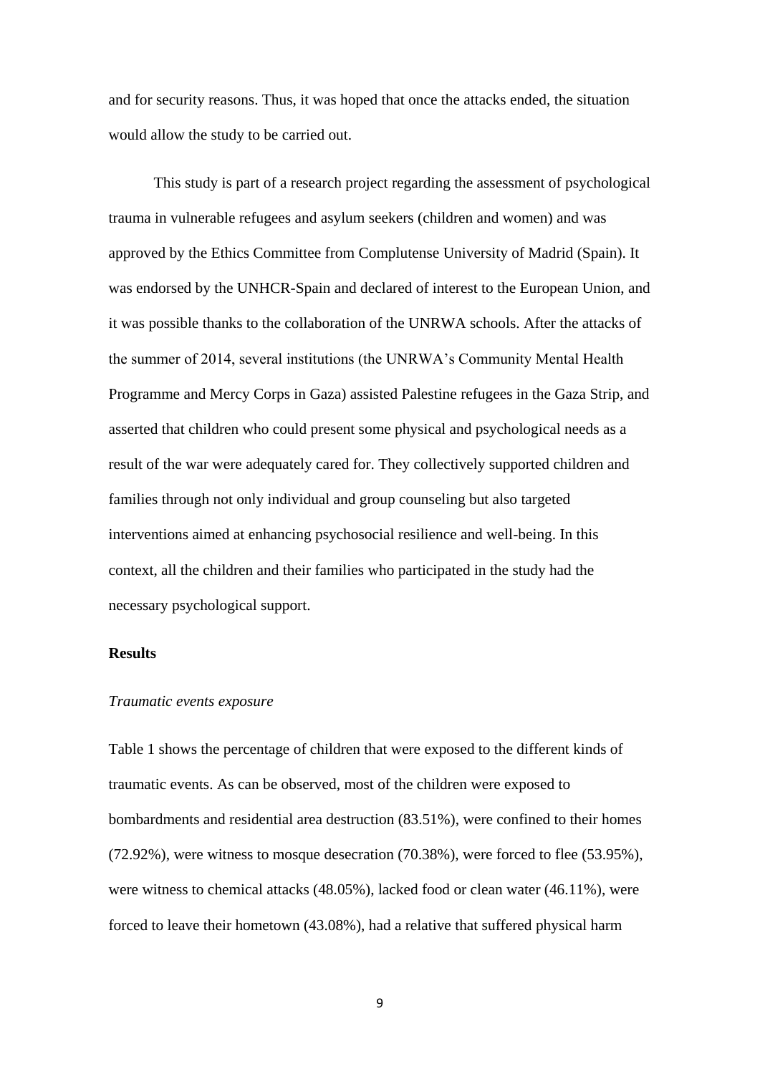and for security reasons. Thus, it was hoped that once the attacks ended, the situation would allow the study to be carried out.

This study is part of a research project regarding the assessment of psychological trauma in vulnerable refugees and asylum seekers (children and women) and was approved by the Ethics Committee from Complutense University of Madrid (Spain). It was endorsed by the UNHCR-Spain and declared of interest to the European Union, and it was possible thanks to the collaboration of the UNRWA schools. After the attacks of the summer of 2014, several institutions (the UNRWA's Community Mental Health Programme and Mercy Corps in Gaza) assisted Palestine refugees in the Gaza Strip, and asserted that children who could present some physical and psychological needs as a result of the war were adequately cared for. They collectively supported children and families through not only individual and group counseling but also targeted interventions aimed at enhancing psychosocial resilience and well-being. In this context, all the children and their families who participated in the study had the necessary psychological support.

## **Results**

#### *Traumatic events exposure*

Table 1 shows the percentage of children that were exposed to the different kinds of traumatic events. As can be observed, most of the children were exposed to bombardments and residential area destruction (83.51%), were confined to their homes (72.92%), were witness to mosque desecration (70.38%), were forced to flee (53.95%), were witness to chemical attacks (48.05%), lacked food or clean water (46.11%), were forced to leave their hometown (43.08%), had a relative that suffered physical harm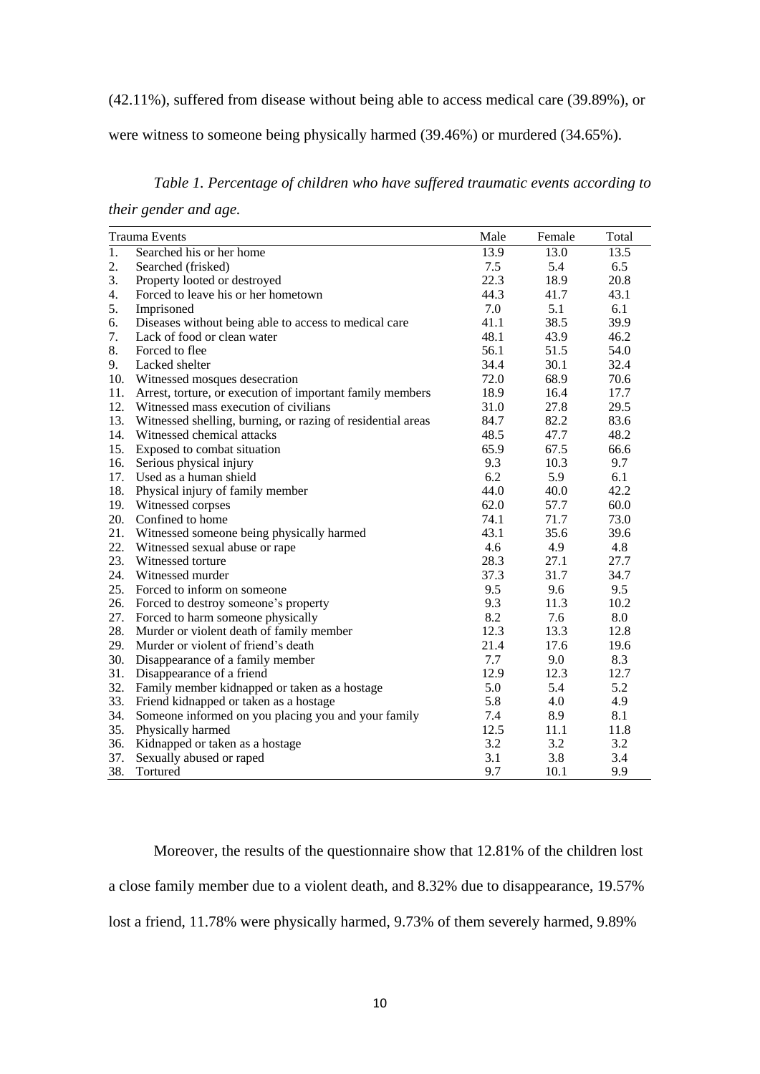(42.11%), suffered from disease without being able to access medical care (39.89%), or

were witness to someone being physically harmed (39.46%) or murdered (34.65%).

*Table 1. Percentage of children who have suffered traumatic events according to* 

*their gender and age.*

|                  | <b>Trauma Events</b>                                        | Male | Female | Total |
|------------------|-------------------------------------------------------------|------|--------|-------|
| $\overline{1}$ . | Searched his or her home                                    | 13.9 | 13.0   | 13.5  |
| 2.               | Searched (frisked)                                          | 7.5  | 5.4    | 6.5   |
| 3.               | Property looted or destroyed                                | 22.3 | 18.9   | 20.8  |
| 4.               | Forced to leave his or her hometown                         | 44.3 | 41.7   | 43.1  |
| 5.               | Imprisoned                                                  | 7.0  | 5.1    | 6.1   |
| 6.               | Diseases without being able to access to medical care       | 41.1 | 38.5   | 39.9  |
| 7.               | Lack of food or clean water                                 | 48.1 | 43.9   | 46.2  |
| 8.               | Forced to flee                                              | 56.1 | 51.5   | 54.0  |
| 9.               | Lacked shelter                                              | 34.4 | 30.1   | 32.4  |
| 10.              | Witnessed mosques desecration                               | 72.0 | 68.9   | 70.6  |
| 11.              | Arrest, torture, or execution of important family members   | 18.9 | 16.4   | 17.7  |
| 12.              | Witnessed mass execution of civilians                       | 31.0 | 27.8   | 29.5  |
| 13.              | Witnessed shelling, burning, or razing of residential areas | 84.7 | 82.2   | 83.6  |
| 14.              | Witnessed chemical attacks                                  | 48.5 | 47.7   | 48.2  |
| 15.              | Exposed to combat situation                                 | 65.9 | 67.5   | 66.6  |
| 16.              | Serious physical injury                                     | 9.3  | 10.3   | 9.7   |
| 17.              | Used as a human shield                                      | 6.2  | 5.9    | 6.1   |
| 18.              | Physical injury of family member                            | 44.0 | 40.0   | 42.2  |
| 19.              | Witnessed corpses                                           | 62.0 | 57.7   | 60.0  |
| 20.              | Confined to home                                            | 74.1 | 71.7   | 73.0  |
| 21.              | Witnessed someone being physically harmed                   | 43.1 | 35.6   | 39.6  |
| 22.              | Witnessed sexual abuse or rape                              | 4.6  | 4.9    | 4.8   |
| 23.              | Witnessed torture                                           | 28.3 | 27.1   | 27.7  |
| 24.              | Witnessed murder                                            | 37.3 | 31.7   | 34.7  |
| 25.              | Forced to inform on someone                                 | 9.5  | 9.6    | 9.5   |
| 26.              | Forced to destroy someone's property                        | 9.3  | 11.3   | 10.2  |
| 27.              | Forced to harm someone physically                           | 8.2  | 7.6    | 8.0   |
| 28.              | Murder or violent death of family member                    | 12.3 | 13.3   | 12.8  |
| 29.              | Murder or violent of friend's death                         | 21.4 | 17.6   | 19.6  |
| 30.              | Disappearance of a family member                            | 7.7  | 9.0    | 8.3   |
| 31.              | Disappearance of a friend                                   | 12.9 | 12.3   | 12.7  |
| 32.              | Family member kidnapped or taken as a hostage               | 5.0  | 5.4    | 5.2   |
| 33.              | Friend kidnapped or taken as a hostage                      | 5.8  | 4.0    | 4.9   |
| 34.              | Someone informed on you placing you and your family         | 7.4  | 8.9    | 8.1   |
| 35.              | Physically harmed                                           | 12.5 | 11.1   | 11.8  |
| 36.              | Kidnapped or taken as a hostage                             | 3.2  | 3.2    | 3.2   |
| 37.              | Sexually abused or raped                                    | 3.1  | 3.8    | 3.4   |
| 38.              | Tortured                                                    | 9.7  | 10.1   | 9.9   |

Moreover, the results of the questionnaire show that 12.81% of the children lost a close family member due to a violent death, and 8.32% due to disappearance, 19.57% lost a friend, 11.78% were physically harmed, 9.73% of them severely harmed, 9.89%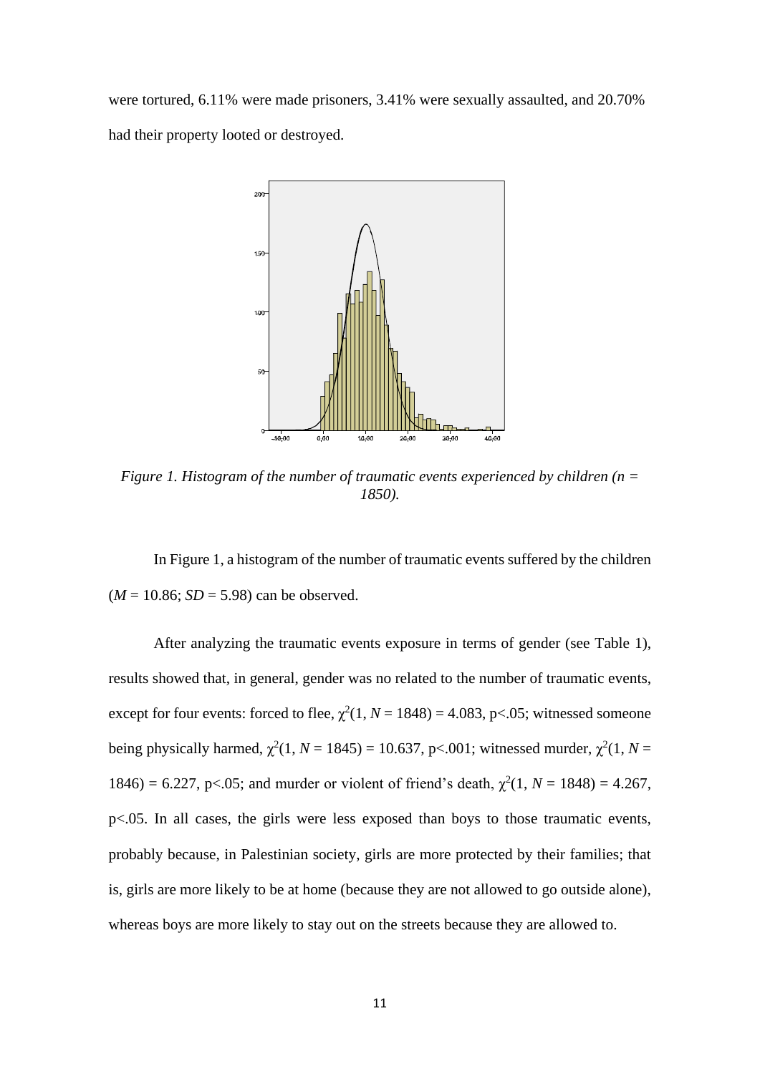were tortured, 6.11% were made prisoners, 3.41% were sexually assaulted, and 20.70% had their property looted or destroyed.



*Figure 1. Histogram of the number of traumatic events experienced by children (n = 1850).*

In Figure 1, a histogram of the number of traumatic events suffered by the children  $(M = 10.86; SD = 5.98)$  can be observed.

After analyzing the traumatic events exposure in terms of gender (see Table 1), results showed that, in general, gender was no related to the number of traumatic events, except for four events: forced to flee,  $\chi^2(1, N = 1848) = 4.083$ , p<.05; witnessed someone being physically harmed,  $\chi^2(1, N = 1845) = 10.637$ , p<.001; witnessed murder,  $\chi^2(1, N = 1845)$ 1846) = 6.227, p<.05; and murder or violent of friend's death,  $\chi^2(1, N = 1848) = 4.267$ , p<.05. In all cases, the girls were less exposed than boys to those traumatic events, probably because, in Palestinian society, girls are more protected by their families; that is, girls are more likely to be at home (because they are not allowed to go outside alone), whereas boys are more likely to stay out on the streets because they are allowed to.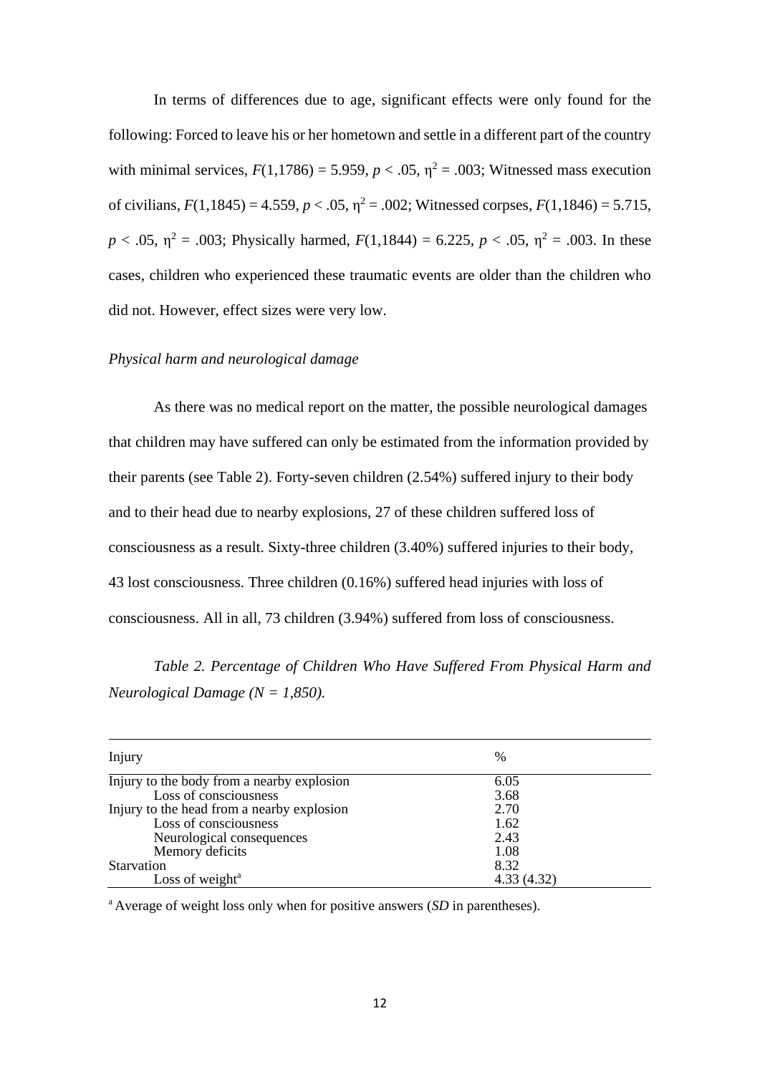In terms of differences due to age, significant effects were only found for the following: Forced to leave his or her hometown and settle in a different part of the country with minimal services,  $F(1,1786) = 5.959$ ,  $p < .05$ ,  $\eta^2 = .003$ ; Witnessed mass execution of civilians,  $F(1,1845) = 4.559$ ,  $p < .05$ ,  $\eta^2 = .002$ ; Witnessed corpses,  $F(1,1846) = 5.715$ ,  $p < .05$ ,  $\eta^2 = .003$ ; Physically harmed,  $F(1,1844) = 6.225$ ,  $p < .05$ ,  $\eta^2 = .003$ . In these cases, children who experienced these traumatic events are older than the children who did not. However, effect sizes were very low.

## *Physical harm and neurological damage*

As there was no medical report on the matter, the possible neurological damages that children may have suffered can only be estimated from the information provided by their parents (see Table 2). Forty-seven children (2.54%) suffered injury to their body and to their head due to nearby explosions, 27 of these children suffered loss of consciousness as a result. Sixty-three children (3.40%) suffered injuries to their body, 43 lost consciousness. Three children (0.16%) suffered head injuries with loss of consciousness. All in all, 73 children (3.94%) suffered from loss of consciousness.

## *Table 2. Percentage of Children Who Have Suffered From Physical Harm and Neurological Damage (N = 1,850).*

| Injury                                     | $\%$       |
|--------------------------------------------|------------|
| Injury to the body from a nearby explosion | 6.05       |
| Loss of consciousness                      | 3.68       |
| Injury to the head from a nearby explosion | 2.70       |
| Loss of consciousness                      | 1.62       |
| Neurological consequences                  | 2.43       |
| Memory deficits                            | 1.08       |
| Starvation                                 | 8.32       |
| Loss of weight <sup>a</sup>                | 4.33(4.32) |

<sup>a</sup> Average of weight loss only when for positive answers (*SD* in parentheses).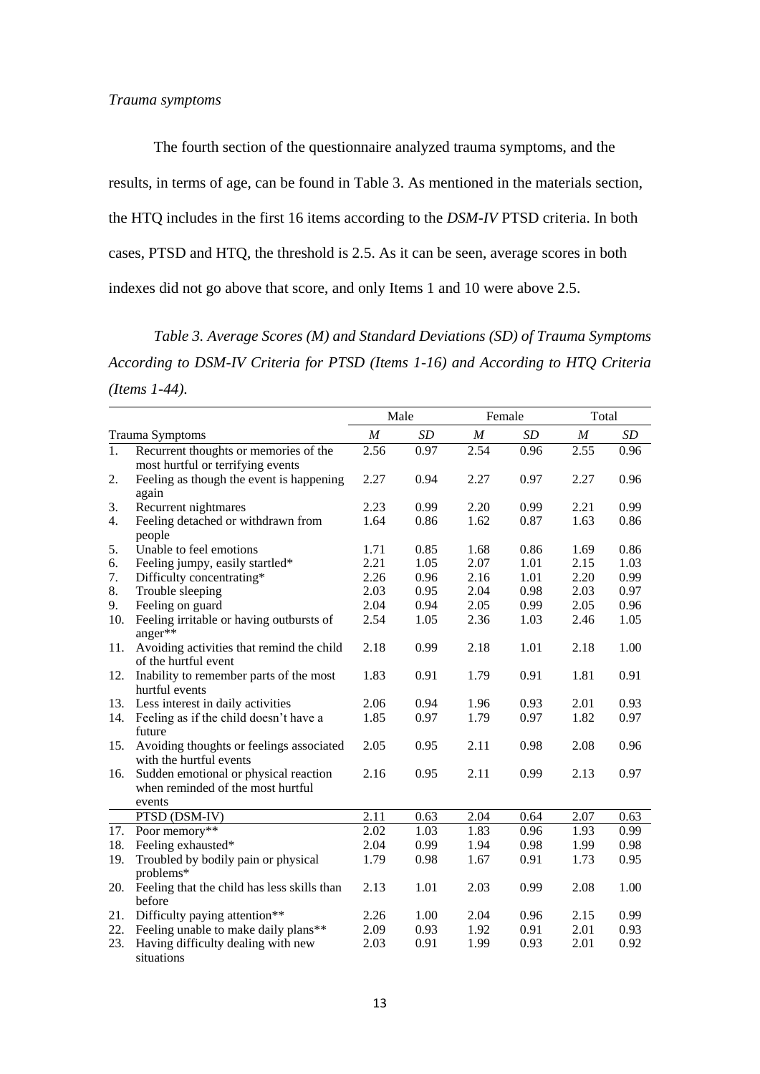The fourth section of the questionnaire analyzed trauma symptoms, and the results, in terms of age, can be found in Table 3. As mentioned in the materials section, the HTQ includes in the first 16 items according to the *DSM-IV* PTSD criteria. In both cases, PTSD and HTQ, the threshold is 2.5. As it can be seen, average scores in both indexes did not go above that score, and only Items 1 and 10 were above 2.5.

*Table 3. Average Scores (M) and Standard Deviations (SD) of Trauma Symptoms According to DSM-IV Criteria for PTSD (Items 1-16) and According to HTQ Criteria (Items 1-44).*

|                  |                                                                            | Male             |      | Female           |      | Total            |      |
|------------------|----------------------------------------------------------------------------|------------------|------|------------------|------|------------------|------|
|                  | Trauma Symptoms                                                            | $\boldsymbol{M}$ | SD   | $\boldsymbol{M}$ | SD   | $\boldsymbol{M}$ | SD   |
| $\overline{1}$ . | Recurrent thoughts or memories of the                                      | 2.56             | 0.97 | 2.54             | 0.96 | 2.55             | 0.96 |
|                  | most hurtful or terrifying events                                          |                  |      |                  |      |                  |      |
| 2.               | Feeling as though the event is happening<br>again                          | 2.27             | 0.94 | 2.27             | 0.97 | 2.27             | 0.96 |
| 3.               | Recurrent nightmares                                                       | 2.23             | 0.99 | 2.20             | 0.99 | 2.21             | 0.99 |
| 4.               | Feeling detached or withdrawn from<br>people                               | 1.64             | 0.86 | 1.62             | 0.87 | 1.63             | 0.86 |
| 5.               | Unable to feel emotions                                                    | 1.71             | 0.85 | 1.68             | 0.86 | 1.69             | 0.86 |
| 6.               | Feeling jumpy, easily startled*                                            | 2.21             | 1.05 | 2.07             | 1.01 | 2.15             | 1.03 |
| 7.               | Difficulty concentrating*                                                  | 2.26             | 0.96 | 2.16             | 1.01 | 2.20             | 0.99 |
| 8.               | Trouble sleeping                                                           | 2.03             | 0.95 | 2.04             | 0.98 | 2.03             | 0.97 |
| 9.               | Feeling on guard                                                           | 2.04             | 0.94 | 2.05             | 0.99 | 2.05             | 0.96 |
| 10.              | Feeling irritable or having outbursts of<br>anger**                        | 2.54             | 1.05 | 2.36             | 1.03 | 2.46             | 1.05 |
| 11.              | Avoiding activities that remind the child<br>of the hurtful event          | 2.18             | 0.99 | 2.18             | 1.01 | 2.18             | 1.00 |
| 12.              | Inability to remember parts of the most<br>hurtful events                  | 1.83             | 0.91 | 1.79             | 0.91 | 1.81             | 0.91 |
| 13.              | Less interest in daily activities                                          | 2.06             | 0.94 | 1.96             | 0.93 | 2.01             | 0.93 |
| 14.              | Feeling as if the child doesn't have a<br>future                           | 1.85             | 0.97 | 1.79             | 0.97 | 1.82             | 0.97 |
| 15.              | Avoiding thoughts or feelings associated<br>with the hurtful events        | 2.05             | 0.95 | 2.11             | 0.98 | 2.08             | 0.96 |
| 16.              | Sudden emotional or physical reaction<br>when reminded of the most hurtful | 2.16             | 0.95 | 2.11             | 0.99 | 2.13             | 0.97 |
|                  | events                                                                     |                  |      |                  |      |                  |      |
|                  | PTSD (DSM-IV)                                                              | 2.11             | 0.63 | 2.04             | 0.64 | 2.07             | 0.63 |
| 17.              | Poor memory**                                                              | 2.02             | 1.03 | 1.83             | 0.96 | 1.93             | 0.99 |
| 18.              | Feeling exhausted*                                                         | 2.04             | 0.99 | 1.94             | 0.98 | 1.99             | 0.98 |
| 19.              | Troubled by bodily pain or physical<br>problems*                           | 1.79             | 0.98 | 1.67             | 0.91 | 1.73             | 0.95 |
| 20.              | Feeling that the child has less skills than<br>before                      | 2.13             | 1.01 | 2.03             | 0.99 | 2.08             | 1.00 |
| 21.              | Difficulty paying attention**                                              | 2.26             | 1.00 | 2.04             | 0.96 | 2.15             | 0.99 |
| 22.              | Feeling unable to make daily plans**                                       | 2.09             | 0.93 | 1.92             | 0.91 | 2.01             | 0.93 |
| 23.              | Having difficulty dealing with new<br>situations                           | 2.03             | 0.91 | 1.99             | 0.93 | 2.01             | 0.92 |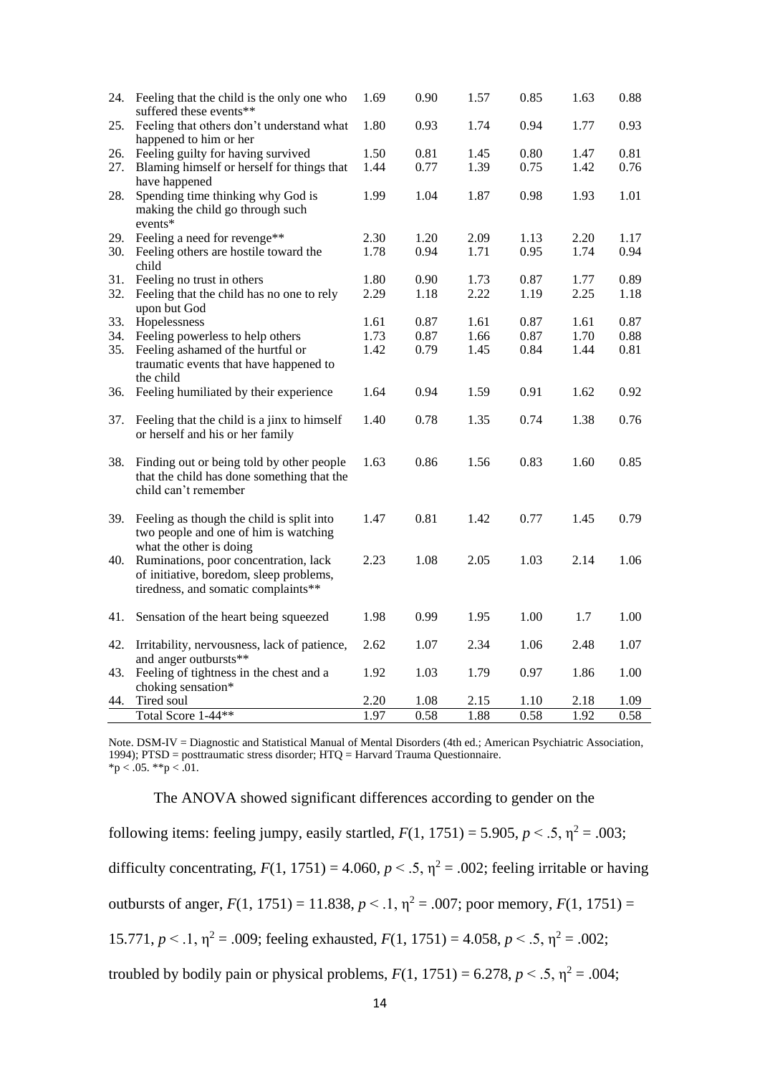| 24. | Feeling that the child is the only one who<br>suffered these events**                                           | 1.69 | 0.90 | 1.57 | 0.85 | 1.63 | 0.88 |
|-----|-----------------------------------------------------------------------------------------------------------------|------|------|------|------|------|------|
| 25. | Feeling that others don't understand what<br>happened to him or her                                             | 1.80 | 0.93 | 1.74 | 0.94 | 1.77 | 0.93 |
| 26. | Feeling guilty for having survived                                                                              | 1.50 | 0.81 | 1.45 | 0.80 | 1.47 | 0.81 |
| 27. | Blaming himself or herself for things that                                                                      | 1.44 | 0.77 | 1.39 | 0.75 | 1.42 | 0.76 |
|     | have happened                                                                                                   |      |      |      |      |      |      |
| 28. | Spending time thinking why God is<br>making the child go through such<br>$events*$                              | 1.99 | 1.04 | 1.87 | 0.98 | 1.93 | 1.01 |
| 29. | Feeling a need for revenge**                                                                                    | 2.30 | 1.20 | 2.09 | 1.13 | 2.20 | 1.17 |
| 30. | Feeling others are hostile toward the                                                                           | 1.78 | 0.94 | 1.71 | 0.95 | 1.74 | 0.94 |
|     | child                                                                                                           |      |      |      |      |      |      |
| 31. | Feeling no trust in others                                                                                      | 1.80 | 0.90 | 1.73 | 0.87 | 1.77 | 0.89 |
| 32. | Feeling that the child has no one to rely<br>upon but God                                                       | 2.29 | 1.18 | 2.22 | 1.19 | 2.25 | 1.18 |
| 33. | Hopelessness                                                                                                    | 1.61 | 0.87 | 1.61 | 0.87 | 1.61 | 0.87 |
| 34. | Feeling powerless to help others                                                                                | 1.73 | 0.87 | 1.66 | 0.87 | 1.70 | 0.88 |
| 35. | Feeling ashamed of the hurtful or                                                                               | 1.42 | 0.79 | 1.45 | 0.84 | 1.44 | 0.81 |
|     | traumatic events that have happened to<br>the child                                                             |      |      |      |      |      |      |
| 36. | Feeling humiliated by their experience                                                                          | 1.64 | 0.94 | 1.59 | 0.91 | 1.62 | 0.92 |
|     |                                                                                                                 |      |      |      |      |      |      |
| 37. | Feeling that the child is a jinx to himself<br>or herself and his or her family                                 | 1.40 | 0.78 | 1.35 | 0.74 | 1.38 | 0.76 |
| 38. | Finding out or being told by other people<br>that the child has done something that the<br>child can't remember | 1.63 | 0.86 | 1.56 | 0.83 | 1.60 | 0.85 |
| 39. | Feeling as though the child is split into                                                                       | 1.47 | 0.81 | 1.42 | 0.77 | 1.45 | 0.79 |
|     | two people and one of him is watching<br>what the other is doing                                                |      |      |      |      |      |      |
| 40. | Ruminations, poor concentration, lack                                                                           | 2.23 | 1.08 | 2.05 | 1.03 | 2.14 | 1.06 |
|     | of initiative, boredom, sleep problems,<br>tiredness, and somatic complaints**                                  |      |      |      |      |      |      |
| 41. | Sensation of the heart being squeezed                                                                           | 1.98 | 0.99 | 1.95 | 1.00 | 1.7  | 1.00 |
| 42. | Irritability, nervousness, lack of patience,                                                                    | 2.62 | 1.07 | 2.34 | 1.06 | 2.48 | 1.07 |
|     | and anger outbursts**                                                                                           |      |      |      |      |      |      |
| 43. | Feeling of tightness in the chest and a<br>choking sensation*                                                   | 1.92 | 1.03 | 1.79 | 0.97 | 1.86 | 1.00 |
| 44. | Tired soul                                                                                                      | 2.20 | 1.08 | 2.15 | 1.10 | 2.18 | 1.09 |
|     | Total Score 1-44**                                                                                              | 1.97 | 0.58 | 1.88 | 0.58 | 1.92 | 0.58 |
|     |                                                                                                                 |      |      |      |      |      |      |

Note. DSM-IV = Diagnostic and Statistical Manual of Mental Disorders (4th ed.; American Psychiatric Association, 1994); PTSD = posttraumatic stress disorder; HTQ = Harvard Trauma Questionnaire.  $*p < .05.$  \*\*p  $< .01.$ 

The ANOVA showed significant differences according to gender on the

following items: feeling jumpy, easily startled,  $F(1, 1751) = 5.905$ ,  $p < .5$ ,  $\eta^2 = .003$ ;

difficulty concentrating,  $F(1, 1751) = 4.060$ ,  $p < .5$ ,  $\eta^2 = .002$ ; feeling irritable or having

outbursts of anger,  $F(1, 1751) = 11.838$ ,  $p < 0.1$ ,  $\eta^2 = 0.007$ ; poor memory,  $F(1, 1751) =$ 

15.771,  $p < 1$ ,  $\eta^2 = .009$ ; feeling exhausted,  $F(1, 1751) = 4.058$ ,  $p < 0.5$ ,  $\eta^2 = .002$ ;

troubled by bodily pain or physical problems,  $F(1, 1751) = 6.278$ ,  $p < .5$ ,  $\eta^2 = .004$ ;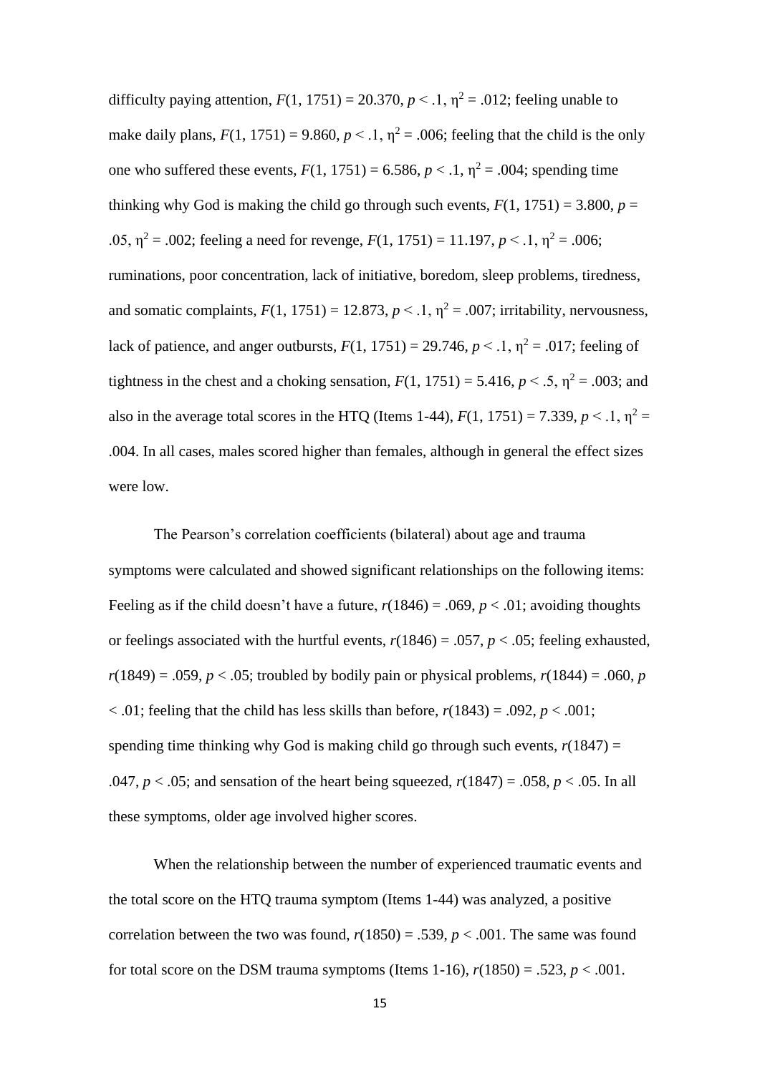difficulty paying attention,  $F(1, 1751) = 20.370$ ,  $p < 1$ ,  $\eta^2 = .012$ ; feeling unable to make daily plans,  $F(1, 1751) = 9.860$ ,  $p < 1$ ,  $\eta^2 = .006$ ; feeling that the child is the only one who suffered these events,  $F(1, 1751) = 6.586$ ,  $p < 0.1$ ,  $\eta^2 = 0.004$ ; spending time thinking why God is making the child go through such events,  $F(1, 1751) = 3.800$ ,  $p =$ .05,  $\eta^2$  = .002; feeling a need for revenge,  $F(1, 1751) = 11.197$ ,  $p < 0.1$ ,  $\eta^2 = 0.006$ ; ruminations, poor concentration, lack of initiative, boredom, sleep problems, tiredness, and somatic complaints,  $F(1, 1751) = 12.873$ ,  $p < 0.1$ ,  $\eta^2 = 0.007$ ; irritability, nervousness, lack of patience, and anger outbursts,  $F(1, 1751) = 29.746$ ,  $p < 0.1$ ,  $\eta^2 = 0.017$ ; feeling of tightness in the chest and a choking sensation,  $F(1, 1751) = 5.416$ ,  $p < .5$ ,  $\eta^2 = .003$ ; and also in the average total scores in the HTQ (Items 1-44),  $F(1, 1751) = 7.339$ ,  $p < 0.1$ ,  $\eta^2 =$ .004. In all cases, males scored higher than females, although in general the effect sizes were low.

The Pearson's correlation coefficients (bilateral) about age and trauma symptoms were calculated and showed significant relationships on the following items: Feeling as if the child doesn't have a future,  $r(1846) = .069$ ,  $p < .01$ ; avoiding thoughts or feelings associated with the hurtful events,  $r(1846) = .057$ ,  $p < .05$ ; feeling exhausted,  $r(1849) = .059$ ,  $p < .05$ ; troubled by bodily pain or physical problems,  $r(1844) = .060$ , *p*  $< .01$ ; feeling that the child has less skills than before,  $r(1843) = .092$ ,  $p < .001$ ; spending time thinking why God is making child go through such events,  $r(1847) =$ .047,  $p < .05$ ; and sensation of the heart being squeezed,  $r(1847) = .058$ ,  $p < .05$ . In all these symptoms, older age involved higher scores.

When the relationship between the number of experienced traumatic events and the total score on the HTQ trauma symptom (Items 1-44) was analyzed, a positive correlation between the two was found,  $r(1850) = .539$ ,  $p < .001$ . The same was found for total score on the DSM trauma symptoms (Items 1-16),  $r(1850) = .523$ ,  $p < .001$ .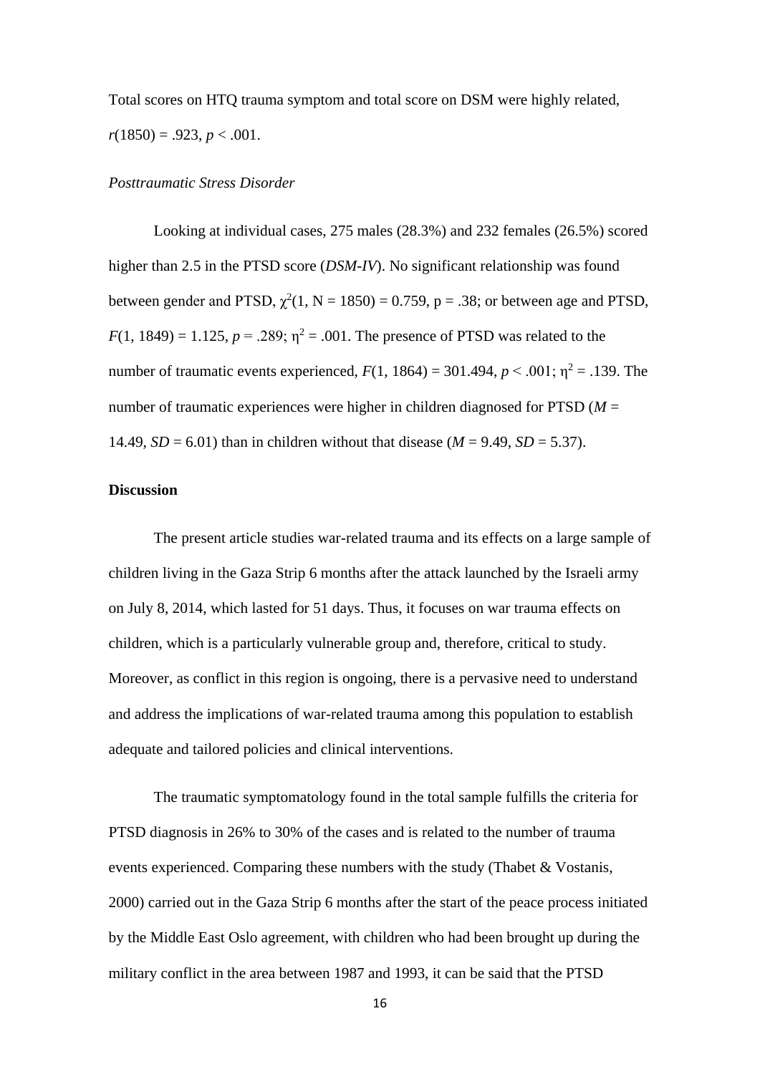Total scores on HTQ trauma symptom and total score on DSM were highly related,  $r(1850) = .923, p < .001.$ 

#### *Posttraumatic Stress Disorder*

Looking at individual cases, 275 males (28.3%) and 232 females (26.5%) scored higher than 2.5 in the PTSD score (*DSM-IV*). No significant relationship was found between gender and PTSD,  $\chi^2(1, N = 1850) = 0.759$ , p = .38; or between age and PTSD,  $F(1, 1849) = 1.125$ ,  $p = .289$ ;  $\eta^2 = .001$ . The presence of PTSD was related to the number of traumatic events experienced,  $F(1, 1864) = 301.494$ ,  $p < .001$ ;  $p^2 = .139$ . The number of traumatic experiences were higher in children diagnosed for PTSD (*M* = 14.49,  $SD = 6.01$ ) than in children without that disease ( $M = 9.49$ ,  $SD = 5.37$ ).

### **Discussion**

The present article studies war-related trauma and its effects on a large sample of children living in the Gaza Strip 6 months after the attack launched by the Israeli army on July 8, 2014, which lasted for 51 days. Thus, it focuses on war trauma effects on children, which is a particularly vulnerable group and, therefore, critical to study. Moreover, as conflict in this region is ongoing, there is a pervasive need to understand and address the implications of war-related trauma among this population to establish adequate and tailored policies and clinical interventions.

The traumatic symptomatology found in the total sample fulfills the criteria for PTSD diagnosis in 26% to 30% of the cases and is related to the number of trauma events experienced. Comparing these numbers with the study (Thabet & Vostanis, 2000) carried out in the Gaza Strip 6 months after the start of the peace process initiated by the Middle East Oslo agreement, with children who had been brought up during the military conflict in the area between 1987 and 1993, it can be said that the PTSD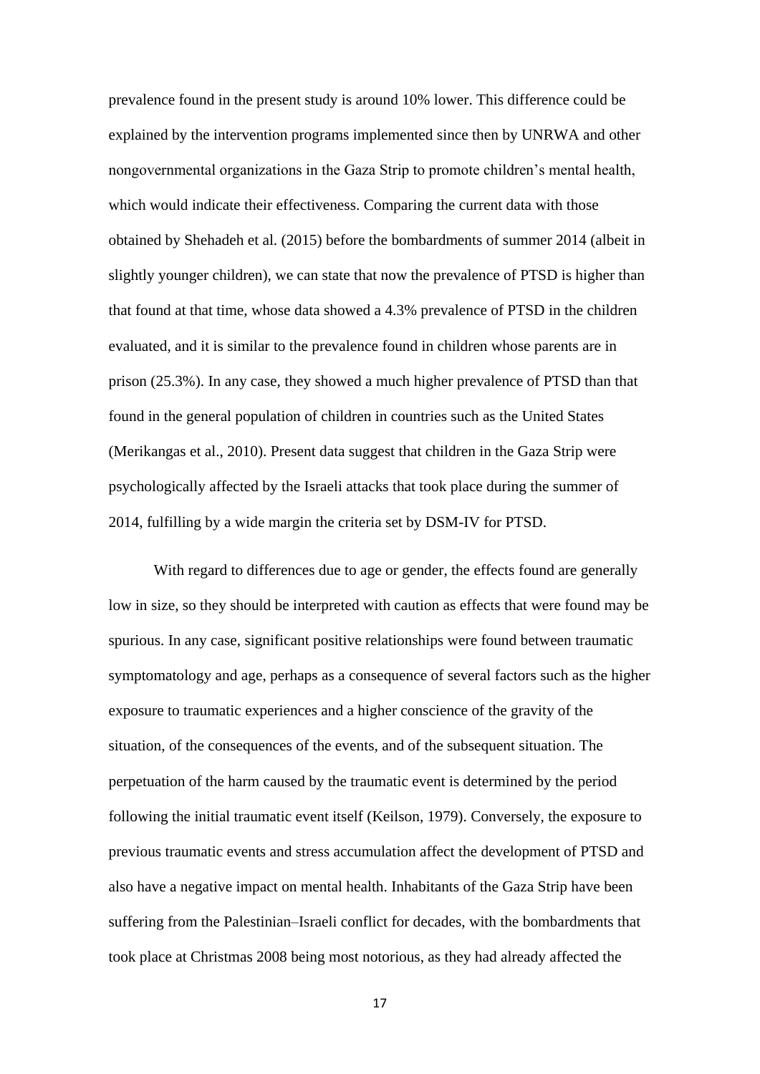prevalence found in the present study is around 10% lower. This difference could be explained by the intervention programs implemented since then by UNRWA and other nongovernmental organizations in the Gaza Strip to promote children's mental health, which would indicate their effectiveness. Comparing the current data with those obtained by Shehadeh et al. (2015) before the bombardments of summer 2014 (albeit in slightly younger children), we can state that now the prevalence of PTSD is higher than that found at that time, whose data showed a 4.3% prevalence of PTSD in the children evaluated, and it is similar to the prevalence found in children whose parents are in prison (25.3%). In any case, they showed a much higher prevalence of PTSD than that found in the general population of children in countries such as the United States (Merikangas et al., 2010). Present data suggest that children in the Gaza Strip were psychologically affected by the Israeli attacks that took place during the summer of 2014, fulfilling by a wide margin the criteria set by DSM-IV for PTSD.

With regard to differences due to age or gender, the effects found are generally low in size, so they should be interpreted with caution as effects that were found may be spurious. In any case, significant positive relationships were found between traumatic symptomatology and age, perhaps as a consequence of several factors such as the higher exposure to traumatic experiences and a higher conscience of the gravity of the situation, of the consequences of the events, and of the subsequent situation. The perpetuation of the harm caused by the traumatic event is determined by the period following the initial traumatic event itself (Keilson, 1979). Conversely, the exposure to previous traumatic events and stress accumulation affect the development of PTSD and also have a negative impact on mental health. Inhabitants of the Gaza Strip have been suffering from the Palestinian–Israeli conflict for decades, with the bombardments that took place at Christmas 2008 being most notorious, as they had already affected the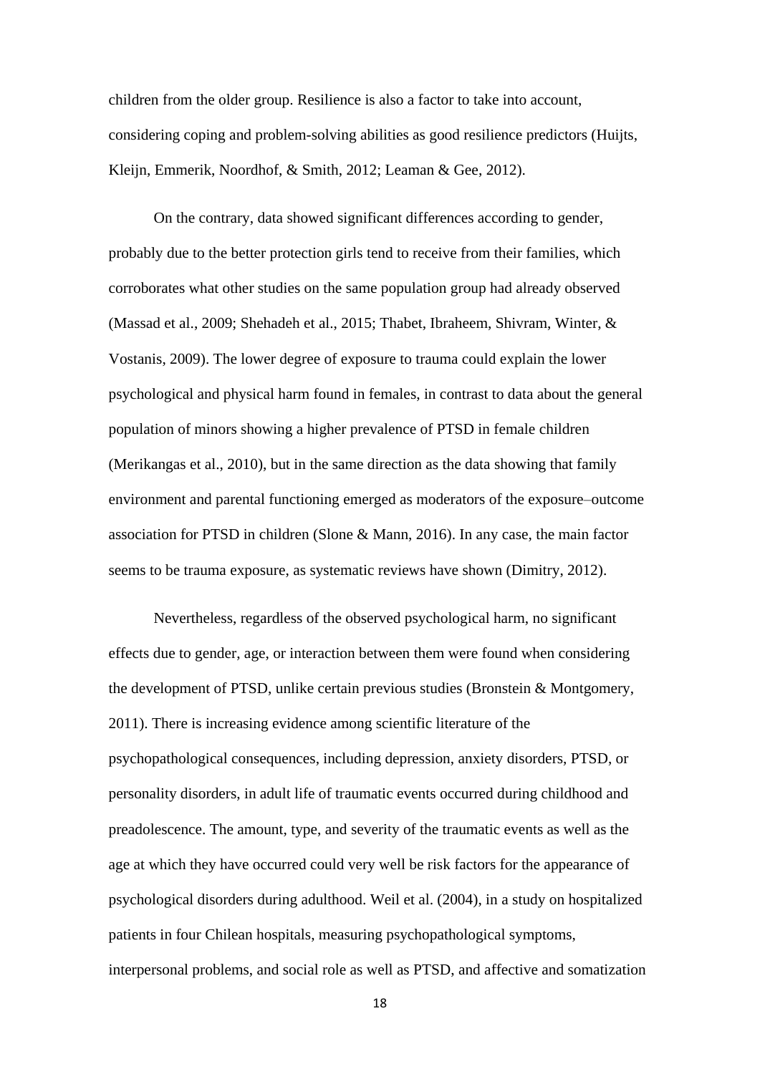children from the older group. Resilience is also a factor to take into account, considering coping and problem-solving abilities as good resilience predictors (Huijts, Kleijn, Emmerik, Noordhof, & Smith, 2012; Leaman & Gee, 2012).

On the contrary, data showed significant differences according to gender, probably due to the better protection girls tend to receive from their families, which corroborates what other studies on the same population group had already observed (Massad et al., 2009; Shehadeh et al., 2015; Thabet, Ibraheem, Shivram, Winter, & Vostanis, 2009). The lower degree of exposure to trauma could explain the lower psychological and physical harm found in females, in contrast to data about the general population of minors showing a higher prevalence of PTSD in female children (Merikangas et al., 2010), but in the same direction as the data showing that family environment and parental functioning emerged as moderators of the exposure–outcome association for PTSD in children (Slone & Mann, 2016). In any case, the main factor seems to be trauma exposure, as systematic reviews have shown (Dimitry, 2012).

Nevertheless, regardless of the observed psychological harm, no significant effects due to gender, age, or interaction between them were found when considering the development of PTSD, unlike certain previous studies (Bronstein & Montgomery, 2011). There is increasing evidence among scientific literature of the psychopathological consequences, including depression, anxiety disorders, PTSD, or personality disorders, in adult life of traumatic events occurred during childhood and preadolescence. The amount, type, and severity of the traumatic events as well as the age at which they have occurred could very well be risk factors for the appearance of psychological disorders during adulthood. Weil et al. (2004), in a study on hospitalized patients in four Chilean hospitals, measuring psychopathological symptoms, interpersonal problems, and social role as well as PTSD, and affective and somatization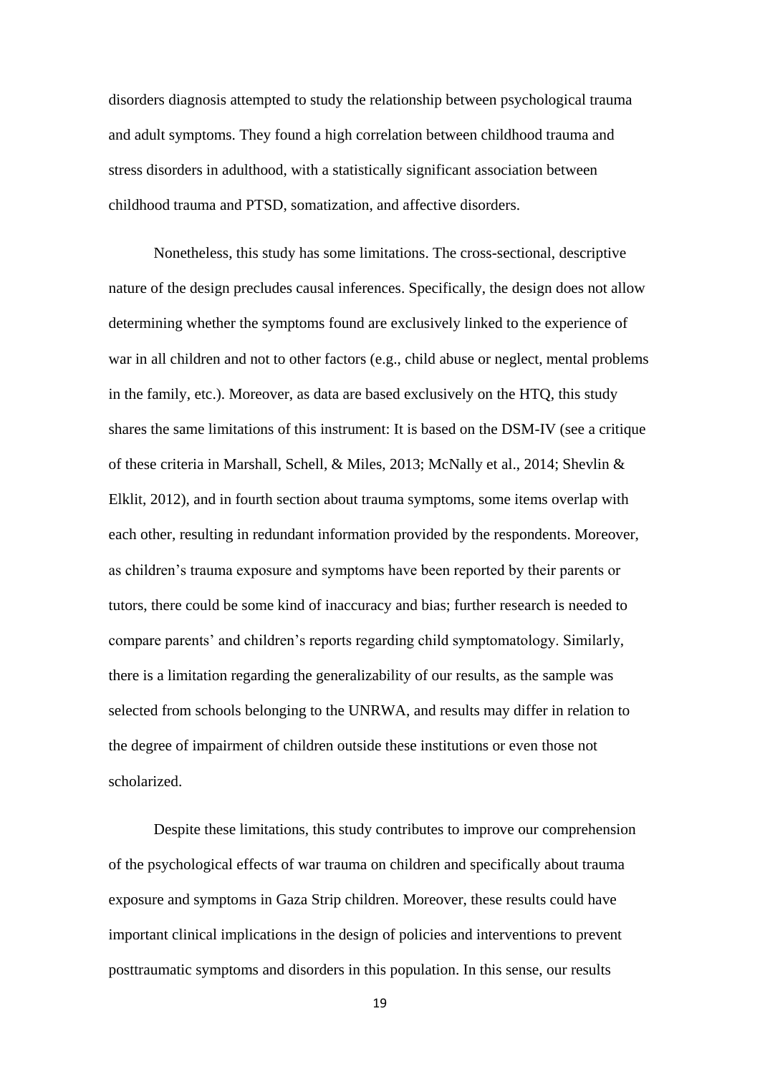disorders diagnosis attempted to study the relationship between psychological trauma and adult symptoms. They found a high correlation between childhood trauma and stress disorders in adulthood, with a statistically significant association between childhood trauma and PTSD, somatization, and affective disorders.

Nonetheless, this study has some limitations. The cross-sectional, descriptive nature of the design precludes causal inferences. Specifically, the design does not allow determining whether the symptoms found are exclusively linked to the experience of war in all children and not to other factors (e.g., child abuse or neglect, mental problems in the family, etc.). Moreover, as data are based exclusively on the HTQ, this study shares the same limitations of this instrument: It is based on the DSM-IV (see a critique of these criteria in Marshall, Schell, & Miles, 2013; McNally et al., 2014; Shevlin & Elklit, 2012), and in fourth section about trauma symptoms, some items overlap with each other, resulting in redundant information provided by the respondents. Moreover, as children's trauma exposure and symptoms have been reported by their parents or tutors, there could be some kind of inaccuracy and bias; further research is needed to compare parents' and children's reports regarding child symptomatology. Similarly, there is a limitation regarding the generalizability of our results, as the sample was selected from schools belonging to the UNRWA, and results may differ in relation to the degree of impairment of children outside these institutions or even those not scholarized.

Despite these limitations, this study contributes to improve our comprehension of the psychological effects of war trauma on children and specifically about trauma exposure and symptoms in Gaza Strip children. Moreover, these results could have important clinical implications in the design of policies and interventions to prevent posttraumatic symptoms and disorders in this population. In this sense, our results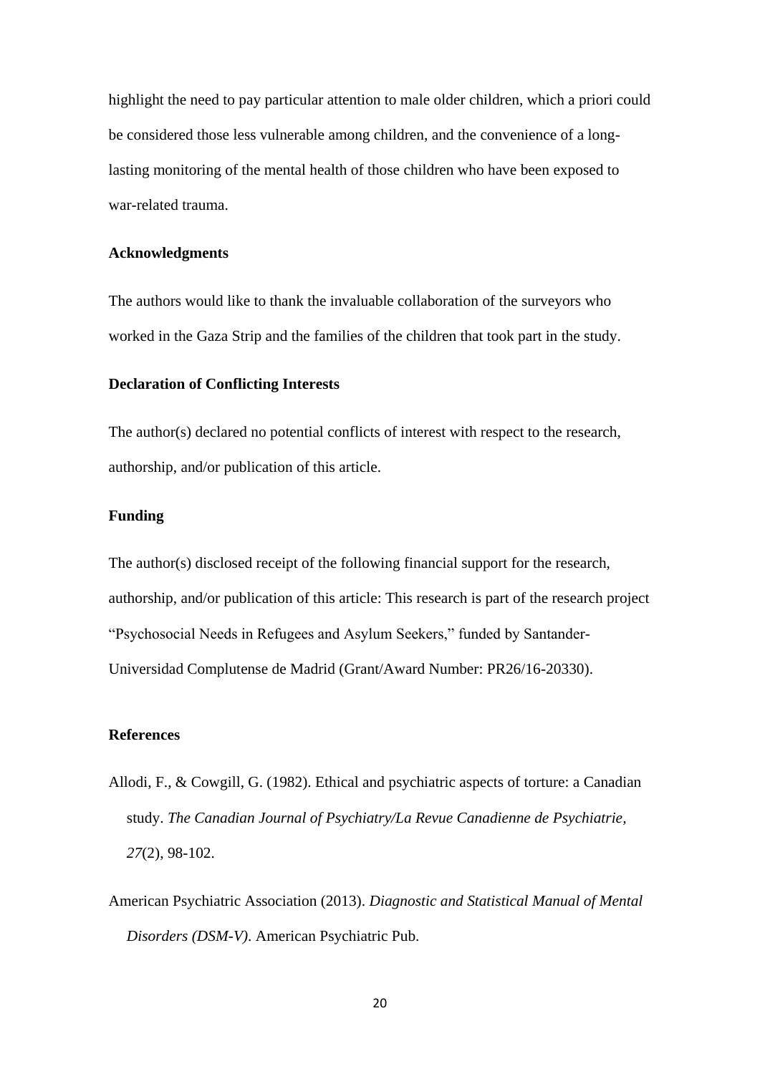highlight the need to pay particular attention to male older children, which a priori could be considered those less vulnerable among children, and the convenience of a longlasting monitoring of the mental health of those children who have been exposed to war-related trauma.

#### **Acknowledgments**

The authors would like to thank the invaluable collaboration of the surveyors who worked in the Gaza Strip and the families of the children that took part in the study.

## **Declaration of Conflicting Interests**

The author(s) declared no potential conflicts of interest with respect to the research, authorship, and/or publication of this article.

#### **Funding**

The author(s) disclosed receipt of the following financial support for the research, authorship, and/or publication of this article: This research is part of the research project "Psychosocial Needs in Refugees and Asylum Seekers," funded by Santander-Universidad Complutense de Madrid (Grant/Award Number: PR26/16-20330).

#### **References**

- Allodi, F., & Cowgill, G. (1982). Ethical and psychiatric aspects of torture: a Canadian study. *The Canadian Journal of Psychiatry/La Revue Canadienne de Psychiatrie, 27*(2), 98-102.
- American Psychiatric Association (2013). *Diagnostic and Statistical Manual of Mental Disorders (DSM-V)*. American Psychiatric Pub.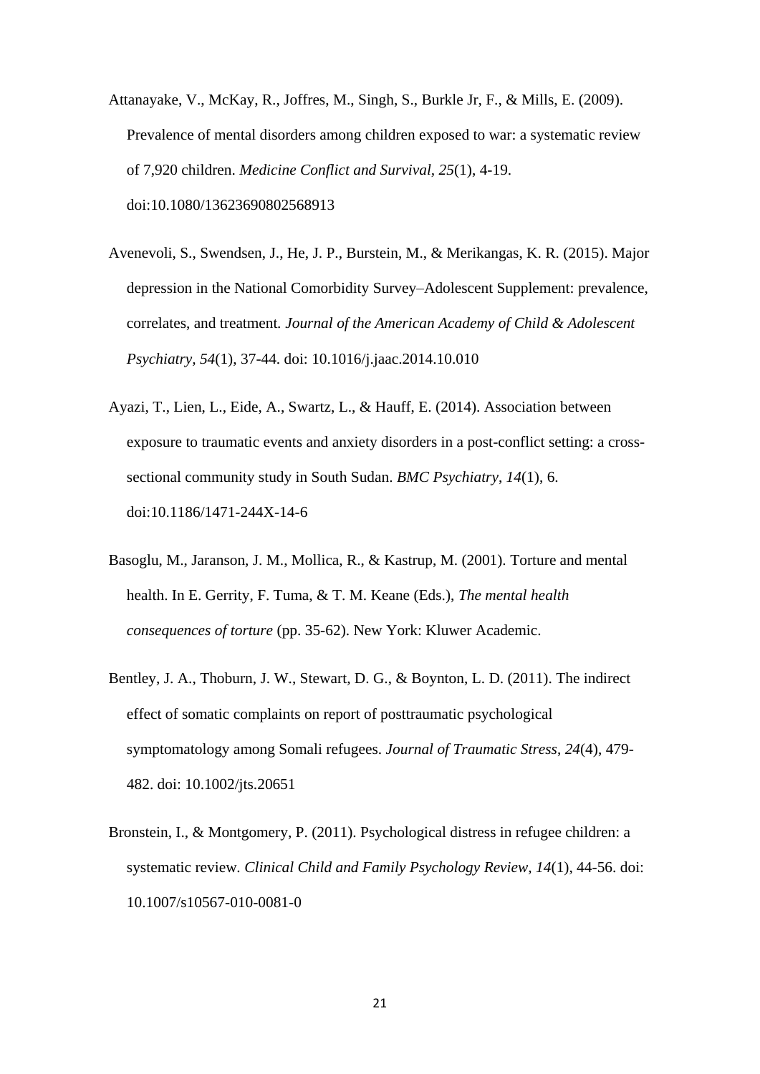- Attanayake, V., McKay, R., Joffres, M., Singh, S., Burkle Jr, F., & Mills, E. (2009). Prevalence of mental disorders among children exposed to war: a systematic review of 7,920 children. *Medicine Conflict and Survival, 25*(1), 4-19. doi:10.1080/13623690802568913
- Avenevoli, S., Swendsen, J., He, J. P., Burstein, M., & Merikangas, K. R. (2015). Major depression in the National Comorbidity Survey–Adolescent Supplement: prevalence, correlates, and treatment*. Journal of the American Academy of Child & Adolescent Psychiatry, 54*(1), 37-44. doi: 10.1016/j.jaac.2014.10.010
- Ayazi, T., Lien, L., Eide, A., Swartz, L., & Hauff, E. (2014). Association between exposure to traumatic events and anxiety disorders in a post-conflict setting: a crosssectional community study in South Sudan. *BMC Psychiatry*, *14*(1), 6. doi:10.1186/1471-244X-14-6
- Basoglu, M., Jaranson, J. M., Mollica, R., & Kastrup, M. (2001). Torture and mental health. In E. Gerrity, F. Tuma, & T. M. Keane (Eds.), *The mental health consequences of torture* (pp. 35-62). New York: Kluwer Academic.
- Bentley, J. A., Thoburn, J. W., Stewart, D. G., & Boynton, L. D. (2011). The indirect effect of somatic complaints on report of posttraumatic psychological symptomatology among Somali refugees. *Journal of Traumatic Stress*, *24*(4), 479- 482. doi: 10.1002/jts.20651
- Bronstein, I., & Montgomery, P. (2011). Psychological distress in refugee children: a systematic review*. Clinical Child and Family Psychology Review, 14*(1), 44-56. doi: 10.1007/s10567-010-0081-0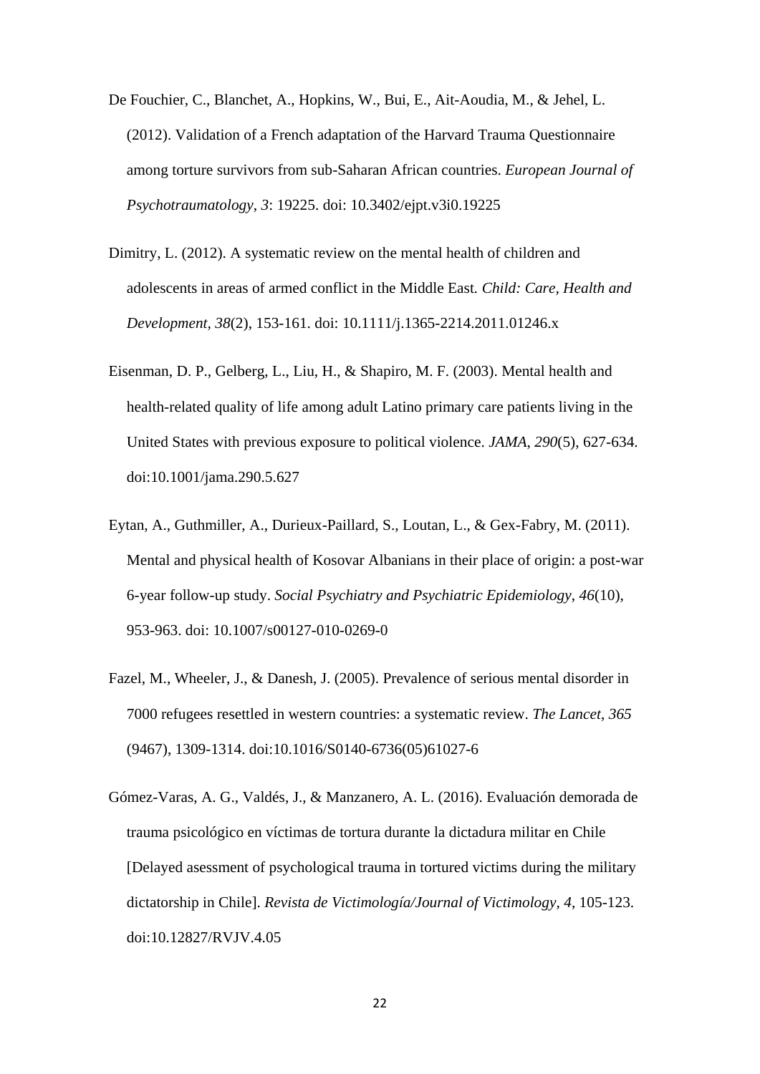- De Fouchier, C., Blanchet, A., Hopkins, W., Bui, E., Ait-Aoudia, M., & Jehel, L. (2012). Validation of a French adaptation of the Harvard Trauma Questionnaire among torture survivors from sub-Saharan African countries. *European Journal of Psychotraumatology*, *3*: 19225. doi: 10.3402/ejpt.v3i0.19225
- Dimitry, L. (2012). A systematic review on the mental health of children and adolescents in areas of armed conflict in the Middle East*. Child: Care, Health and Development, 38*(2), 153-161. doi: 10.1111/j.1365-2214.2011.01246.x
- Eisenman, D. P., Gelberg, L., Liu, H., & Shapiro, M. F. (2003). Mental health and health-related quality of life among adult Latino primary care patients living in the United States with previous exposure to political violence. *JAMA*, *290*(5), 627-634. doi:10.1001/jama.290.5.627
- Eytan, A., Guthmiller, A., Durieux-Paillard, S., Loutan, L., & Gex-Fabry, M. (2011). Mental and physical health of Kosovar Albanians in their place of origin: a post-war 6-year follow-up study. *Social Psychiatry and Psychiatric Epidemiology*, *46*(10), 953-963. doi: 10.1007/s00127-010-0269-0
- Fazel, M., Wheeler, J., & Danesh, J. (2005). Prevalence of serious mental disorder in 7000 refugees resettled in western countries: a systematic review. *The Lancet*, *365*  (9467), 1309-1314. doi:10.1016/S0140-6736(05)61027-6
- Gómez-Varas, A. G., Valdés, J., & Manzanero, A. L. (2016). Evaluación demorada de trauma psicológico en víctimas de tortura durante la dictadura militar en Chile [Delayed asessment of psychological trauma in tortured victims during the military dictatorship in Chile]. *Revista de Victimología/Journal of Victimology, 4*, 105-123. doi:10.12827/RVJV.4.05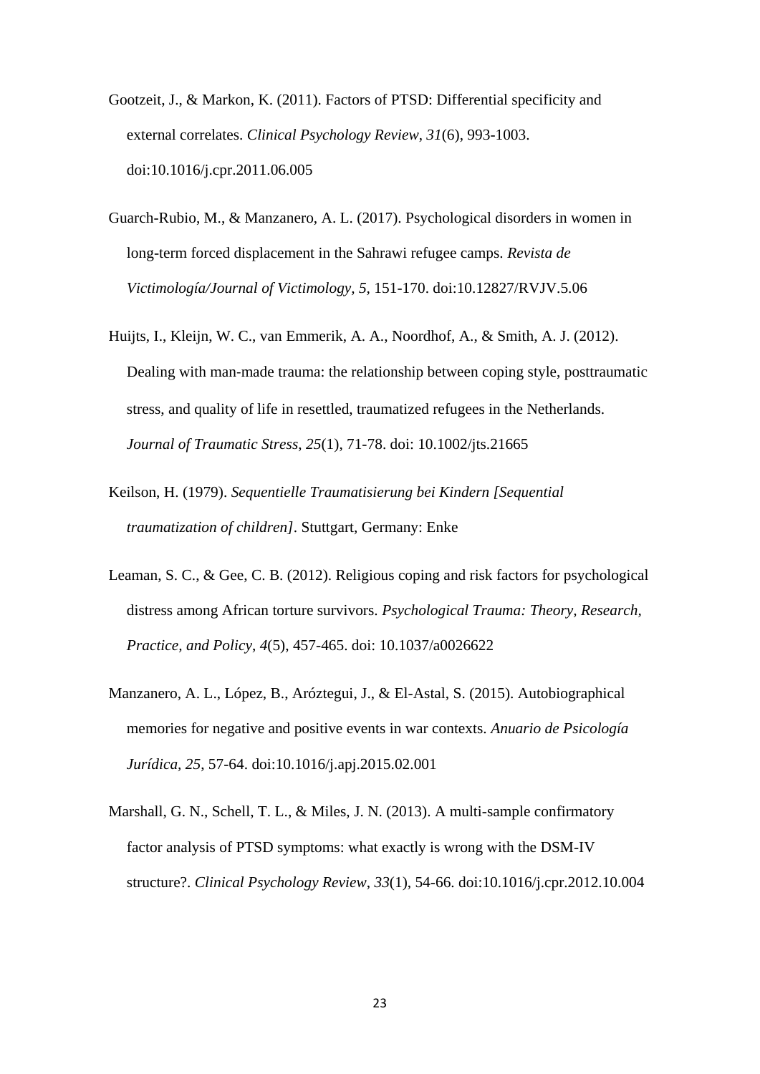- Gootzeit, J., & Markon, K. (2011). Factors of PTSD: Differential specificity and external correlates. *Clinical Psychology Review*, *31*(6), 993-1003. doi:10.1016/j.cpr.2011.06.005
- Guarch-Rubio, M., & Manzanero, A. L. (2017). Psychological disorders in women in long-term forced displacement in the Sahrawi refugee camps. *Revista de Victimología/Journal of Victimology, 5,* 151-170. doi:10.12827/RVJV.5.06
- Huijts, I., Kleijn, W. C., van Emmerik, A. A., Noordhof, A., & Smith, A. J. (2012). Dealing with man-made trauma: the relationship between coping style, posttraumatic stress, and quality of life in resettled, traumatized refugees in the Netherlands. *Journal of Traumatic Stress*, *25*(1), 71-78. doi: 10.1002/jts.21665
- Keilson, H. (1979). *Sequentielle Traumatisierung bei Kindern [Sequential traumatization of children]*. Stuttgart, Germany: Enke
- Leaman, S. C., & Gee, C. B. (2012). Religious coping and risk factors for psychological distress among African torture survivors. *Psychological Trauma: Theory, Research, Practice, and Policy*, *4*(5), 457-465. doi: 10.1037/a0026622
- Manzanero, A. L., López, B., Aróztegui, J., & El-Astal, S. (2015). Autobiographical memories for negative and positive events in war contexts. *Anuario de Psicología Jurídica, 25*, 57-64. doi:10.1016/j.apj.2015.02.001
- Marshall, G. N., Schell, T. L., & Miles, J. N. (2013). A multi-sample confirmatory factor analysis of PTSD symptoms: what exactly is wrong with the DSM-IV structure?. *Clinical Psychology Review*, *33*(1), 54-66. doi:10.1016/j.cpr.2012.10.004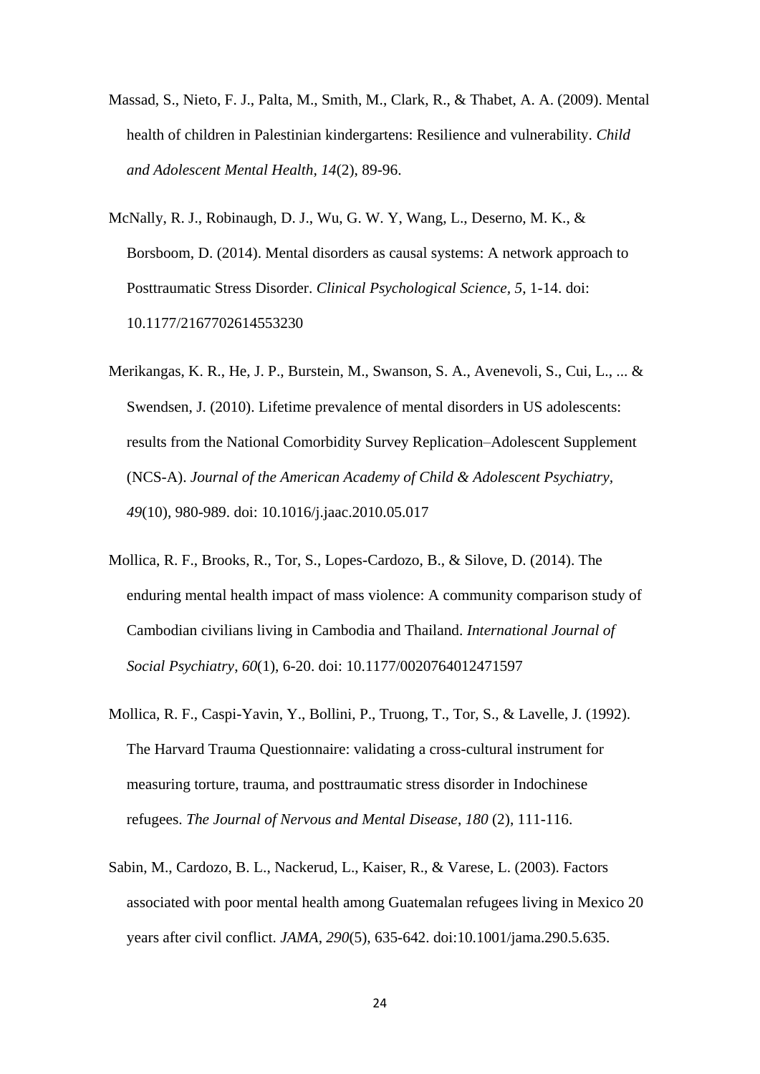- Massad, S., Nieto, F. J., Palta, M., Smith, M., Clark, R., & Thabet, A. A. (2009). Mental health of children in Palestinian kindergartens: Resilience and vulnerability. *Child and Adolescent Mental Health, 14*(2), 89-96.
- McNally, R. J., Robinaugh, D. J., Wu, G. W. Y, Wang, L., Deserno, M. K., & Borsboom, D. (2014). Mental disorders as causal systems: A network approach to Posttraumatic Stress Disorder. *Clinical Psychological Science, 5*, 1-14. doi: 10.1177/2167702614553230
- Merikangas, K. R., He, J. P., Burstein, M., Swanson, S. A., Avenevoli, S., Cui, L., ... & Swendsen, J. (2010). Lifetime prevalence of mental disorders in US adolescents: results from the National Comorbidity Survey Replication–Adolescent Supplement (NCS-A). *Journal of the American Academy of Child & Adolescent Psychiatry, 49*(10), 980-989. doi: 10.1016/j.jaac.2010.05.017
- Mollica, R. F., Brooks, R., Tor, S., Lopes-Cardozo, B., & Silove, D. (2014). The enduring mental health impact of mass violence: A community comparison study of Cambodian civilians living in Cambodia and Thailand. *International Journal of Social Psychiatry*, *60*(1), 6-20. doi: 10.1177/0020764012471597
- Mollica, R. F., Caspi-Yavin, Y., Bollini, P., Truong, T., Tor, S., & Lavelle, J. (1992). The Harvard Trauma Questionnaire: validating a cross-cultural instrument for measuring torture, trauma, and posttraumatic stress disorder in Indochinese refugees. *The Journal of Nervous and Mental Disease*, *180* (2), 111-116.
- Sabin, M., Cardozo, B. L., Nackerud, L., Kaiser, R., & Varese, L. (2003). Factors associated with poor mental health among Guatemalan refugees living in Mexico 20 years after civil conflict. *JAMA*, *290*(5), 635-642. doi:10.1001/jama.290.5.635.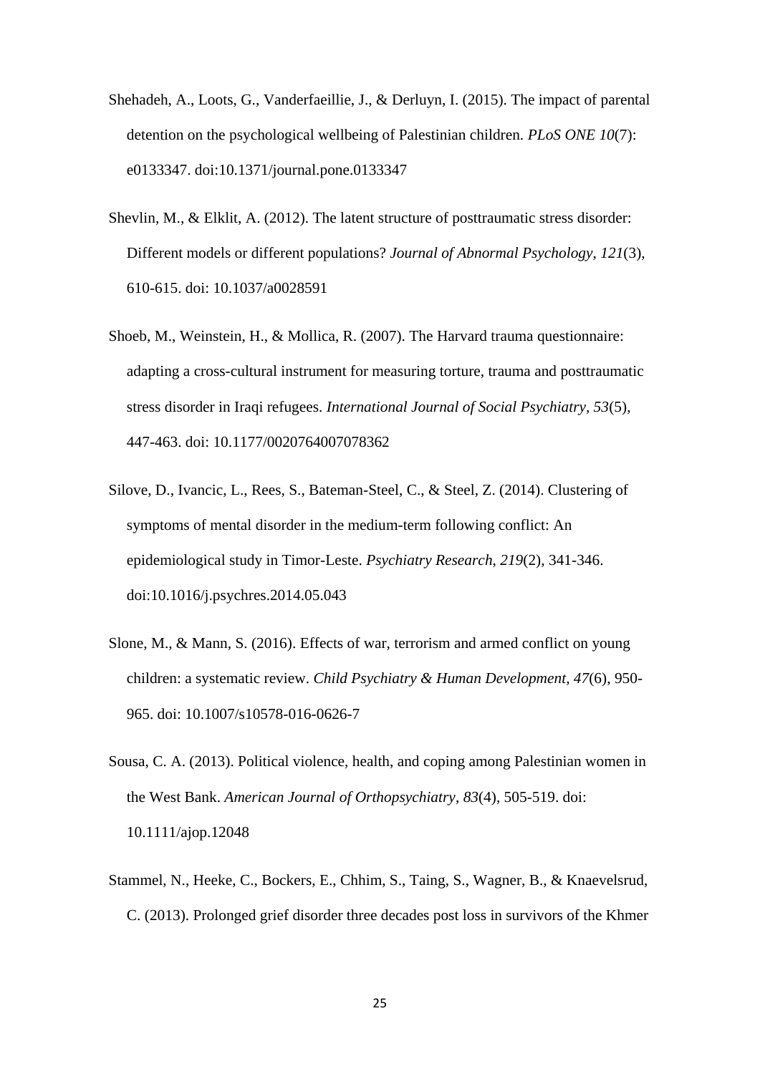- Shehadeh, A., Loots, G., Vanderfaeillie, J., & Derluyn, I. (2015). The impact of parental detention on the psychological wellbeing of Palestinian children. *PLoS ONE 10*(7): e0133347. doi:10.1371/journal.pone.0133347
- Shevlin, M., & Elklit, A. (2012). The latent structure of posttraumatic stress disorder: Different models or different populations? *Journal of Abnormal Psychology*, *121*(3), 610-615. doi: 10.1037/a0028591
- Shoeb, M., Weinstein, H., & Mollica, R. (2007). The Harvard trauma questionnaire: adapting a cross-cultural instrument for measuring torture, trauma and posttraumatic stress disorder in Iraqi refugees. *International Journal of Social Psychiatry, 53*(5), 447-463. doi: 10.1177/0020764007078362
- Silove, D., Ivancic, L., Rees, S., Bateman-Steel, C., & Steel, Z. (2014). Clustering of symptoms of mental disorder in the medium-term following conflict: An epidemiological study in Timor-Leste. *Psychiatry Research*, *219*(2), 341-346. doi:10.1016/j.psychres.2014.05.043
- Slone, M., & Mann, S. (2016). Effects of war, terrorism and armed conflict on young children: a systematic review. *Child Psychiatry & Human Development, 47*(6), 950- 965. doi: 10.1007/s10578-016-0626-7
- Sousa, C. A. (2013). Political violence, health, and coping among Palestinian women in the West Bank. *American Journal of Orthopsychiatry*, *83*(4), 505-519. doi: 10.1111/ajop.12048
- Stammel, N., Heeke, C., Bockers, E., Chhim, S., Taing, S., Wagner, B., & Knaevelsrud, C. (2013). Prolonged grief disorder three decades post loss in survivors of the Khmer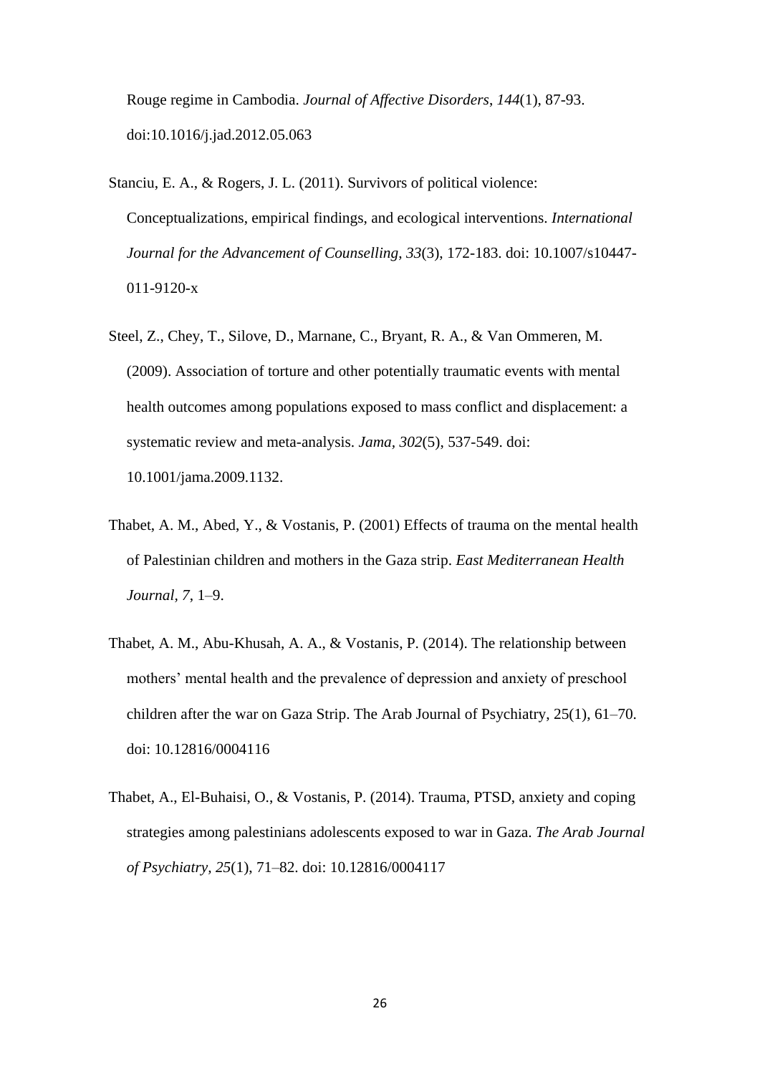Rouge regime in Cambodia. *Journal of Affective Disorders*, *144*(1), 87-93. doi:10.1016/j.jad.2012.05.063

- Stanciu, E. A., & Rogers, J. L. (2011). Survivors of political violence: Conceptualizations, empirical findings, and ecological interventions. *International Journal for the Advancement of Counselling*, *33*(3), 172-183. doi: 10.1007/s10447- 011-9120-x
- Steel, Z., Chey, T., Silove, D., Marnane, C., Bryant, R. A., & Van Ommeren, M. (2009). Association of torture and other potentially traumatic events with mental health outcomes among populations exposed to mass conflict and displacement: a systematic review and meta-analysis. *Jama, 302*(5), 537-549. doi: 10.1001/jama.2009.1132.
- Thabet, A. M., Abed, Y., & Vostanis, P. (2001) Effects of trauma on the mental health of Palestinian children and mothers in the Gaza strip. *East Mediterranean Health Journal, 7*, 1–9.
- Thabet, A. M., Abu-Khusah, A. A., & Vostanis, P. (2014). The relationship between mothers' mental health and the prevalence of depression and anxiety of preschool children after the war on Gaza Strip. The Arab Journal of Psychiatry, 25(1), 61–70. doi: 10.12816/0004116
- Thabet, A., El-Buhaisi, O., & Vostanis, P. (2014). Trauma, PTSD, anxiety and coping strategies among palestinians adolescents exposed to war in Gaza. *The Arab Journal of Psychiatry, 25*(1), 71–82. doi: 10.12816/0004117